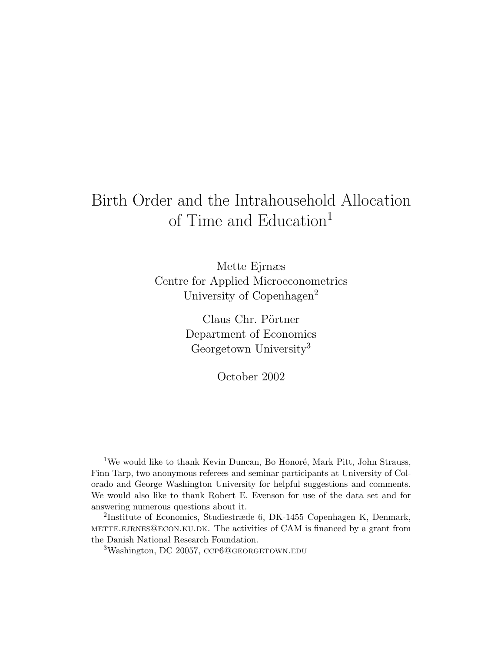# Birth Order and the Intrahousehold Allocation of Time and Education<sup>1</sup>

Mette Ejrnæs Centre for Applied Microeconometrics University of Copenhagen<sup>2</sup>

> Claus Chr. Pörtner Department of Economics Georgetown University<sup>3</sup>

> > October 2002

<sup>1</sup>We would like to thank Kevin Duncan, Bo Honoré, Mark Pitt, John Strauss, Finn Tarp, two anonymous referees and seminar participants at University of Colorado and George Washington University for helpful suggestions and comments. We would also like to thank Robert E. Evenson for use of the data set and for answering numerous questions about it.

2 Institute of Economics, Studiestræde 6, DK-1455 Copenhagen K, Denmark, mette.ejrnes@econ.ku.dk. The activities of CAM is financed by a grant from the Danish National Research Foundation.

 $3W$ ashington, DC 20057, CCP6@GEORGETOWN.EDU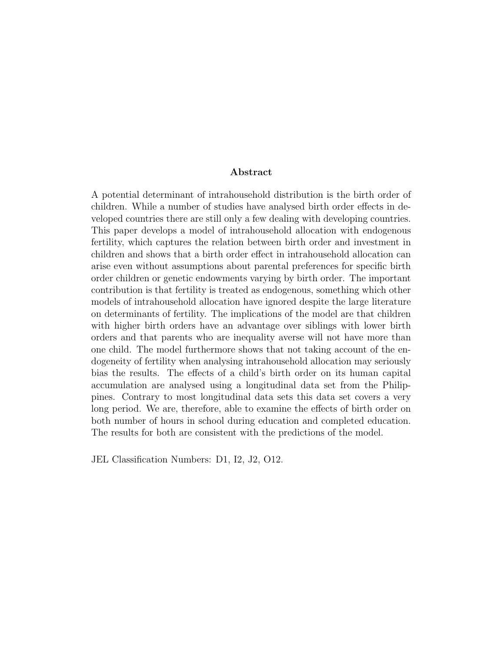#### Abstract

A potential determinant of intrahousehold distribution is the birth order of children. While a number of studies have analysed birth order effects in developed countries there are still only a few dealing with developing countries. This paper develops a model of intrahousehold allocation with endogenous fertility, which captures the relation between birth order and investment in children and shows that a birth order effect in intrahousehold allocation can arise even without assumptions about parental preferences for specific birth order children or genetic endowments varying by birth order. The important contribution is that fertility is treated as endogenous, something which other models of intrahousehold allocation have ignored despite the large literature on determinants of fertility. The implications of the model are that children with higher birth orders have an advantage over siblings with lower birth orders and that parents who are inequality averse will not have more than one child. The model furthermore shows that not taking account of the endogeneity of fertility when analysing intrahousehold allocation may seriously bias the results. The effects of a child's birth order on its human capital accumulation are analysed using a longitudinal data set from the Philippines. Contrary to most longitudinal data sets this data set covers a very long period. We are, therefore, able to examine the effects of birth order on both number of hours in school during education and completed education. The results for both are consistent with the predictions of the model.

JEL Classification Numbers: D1, I2, J2, O12.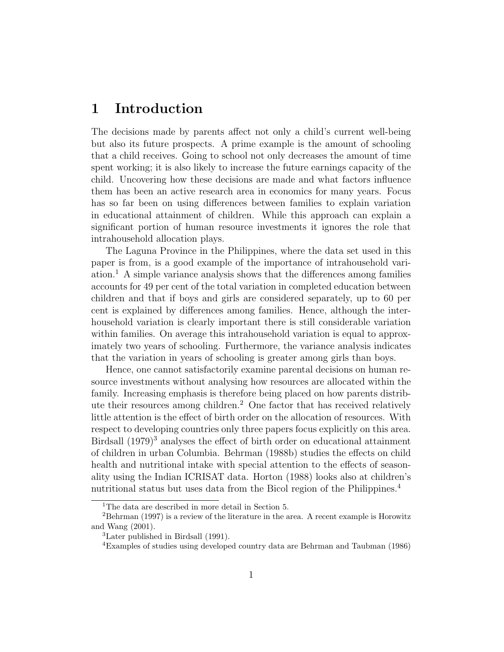# 1 Introduction

The decisions made by parents affect not only a child's current well-being but also its future prospects. A prime example is the amount of schooling that a child receives. Going to school not only decreases the amount of time spent working; it is also likely to increase the future earnings capacity of the child. Uncovering how these decisions are made and what factors influence them has been an active research area in economics for many years. Focus has so far been on using differences between families to explain variation in educational attainment of children. While this approach can explain a significant portion of human resource investments it ignores the role that intrahousehold allocation plays.

The Laguna Province in the Philippines, where the data set used in this paper is from, is a good example of the importance of intrahousehold variation.<sup>1</sup> A simple variance analysis shows that the differences among families accounts for 49 per cent of the total variation in completed education between children and that if boys and girls are considered separately, up to 60 per cent is explained by differences among families. Hence, although the interhousehold variation is clearly important there is still considerable variation within families. On average this intrahousehold variation is equal to approximately two years of schooling. Furthermore, the variance analysis indicates that the variation in years of schooling is greater among girls than boys.

Hence, one cannot satisfactorily examine parental decisions on human resource investments without analysing how resources are allocated within the family. Increasing emphasis is therefore being placed on how parents distribute their resources among children.<sup>2</sup> One factor that has received relatively little attention is the effect of birth order on the allocation of resources. With respect to developing countries only three papers focus explicitly on this area. Birdsall  $(1979)^3$  analyses the effect of birth order on educational attainment of children in urban Columbia. Behrman (1988b) studies the effects on child health and nutritional intake with special attention to the effects of seasonality using the Indian ICRISAT data. Horton (1988) looks also at children's nutritional status but uses data from the Bicol region of the Philippines.<sup>4</sup>

<sup>1</sup>The data are described in more detail in Section 5.

 $2B$ ehrman (1997) is a review of the literature in the area. A recent example is Horowitz and Wang (2001).

<sup>3</sup>Later published in Birdsall (1991).

<sup>4</sup>Examples of studies using developed country data are Behrman and Taubman (1986)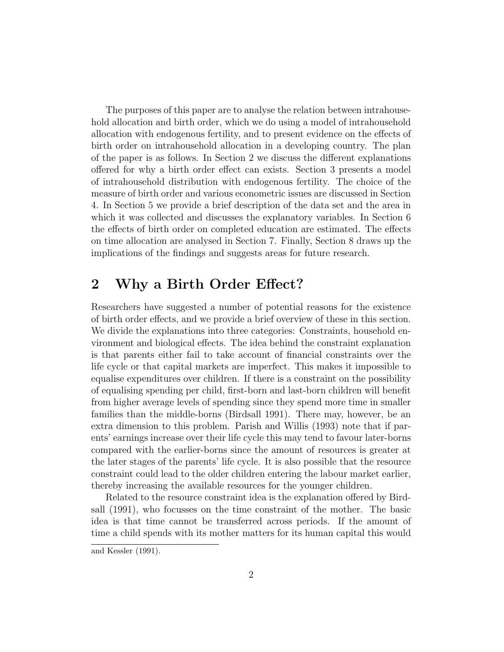The purposes of this paper are to analyse the relation between intrahousehold allocation and birth order, which we do using a model of intrahousehold allocation with endogenous fertility, and to present evidence on the effects of birth order on intrahousehold allocation in a developing country. The plan of the paper is as follows. In Section 2 we discuss the different explanations offered for why a birth order effect can exists. Section 3 presents a model of intrahousehold distribution with endogenous fertility. The choice of the measure of birth order and various econometric issues are discussed in Section 4. In Section 5 we provide a brief description of the data set and the area in which it was collected and discusses the explanatory variables. In Section 6 the effects of birth order on completed education are estimated. The effects on time allocation are analysed in Section 7. Finally, Section 8 draws up the implications of the findings and suggests areas for future research.

### 2 Why a Birth Order Effect?

Researchers have suggested a number of potential reasons for the existence of birth order effects, and we provide a brief overview of these in this section. We divide the explanations into three categories: Constraints, household environment and biological effects. The idea behind the constraint explanation is that parents either fail to take account of financial constraints over the life cycle or that capital markets are imperfect. This makes it impossible to equalise expenditures over children. If there is a constraint on the possibility of equalising spending per child, first-born and last-born children will benefit from higher average levels of spending since they spend more time in smaller families than the middle-borns (Birdsall 1991). There may, however, be an extra dimension to this problem. Parish and Willis (1993) note that if parents' earnings increase over their life cycle this may tend to favour later-borns compared with the earlier-borns since the amount of resources is greater at the later stages of the parents' life cycle. It is also possible that the resource constraint could lead to the older children entering the labour market earlier, thereby increasing the available resources for the younger children.

Related to the resource constraint idea is the explanation offered by Birdsall (1991), who focusses on the time constraint of the mother. The basic idea is that time cannot be transferred across periods. If the amount of time a child spends with its mother matters for its human capital this would

and Kessler (1991).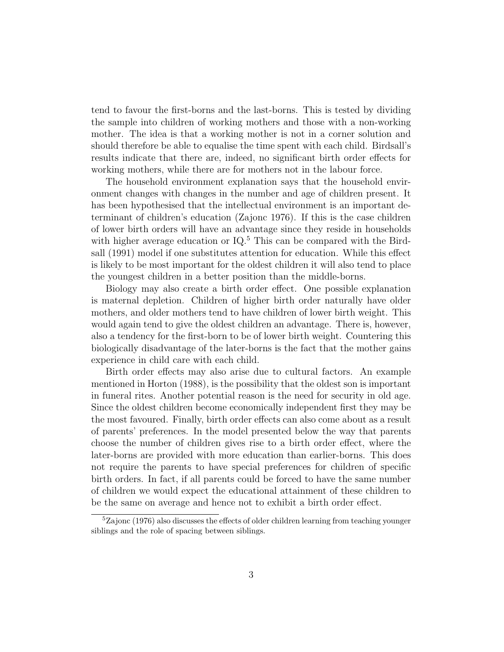tend to favour the first-borns and the last-borns. This is tested by dividing the sample into children of working mothers and those with a non-working mother. The idea is that a working mother is not in a corner solution and should therefore be able to equalise the time spent with each child. Birdsall's results indicate that there are, indeed, no significant birth order effects for working mothers, while there are for mothers not in the labour force.

The household environment explanation says that the household environment changes with changes in the number and age of children present. It has been hypothesised that the intellectual environment is an important determinant of children's education (Zajonc 1976). If this is the case children of lower birth orders will have an advantage since they reside in households with higher average education or  $IQ<sup>5</sup>$ . This can be compared with the Birdsall (1991) model if one substitutes attention for education. While this effect is likely to be most important for the oldest children it will also tend to place the youngest children in a better position than the middle-borns.

Biology may also create a birth order effect. One possible explanation is maternal depletion. Children of higher birth order naturally have older mothers, and older mothers tend to have children of lower birth weight. This would again tend to give the oldest children an advantage. There is, however, also a tendency for the first-born to be of lower birth weight. Countering this biologically disadvantage of the later-borns is the fact that the mother gains experience in child care with each child.

Birth order effects may also arise due to cultural factors. An example mentioned in Horton (1988), is the possibility that the oldest son is important in funeral rites. Another potential reason is the need for security in old age. Since the oldest children become economically independent first they may be the most favoured. Finally, birth order effects can also come about as a result of parents' preferences. In the model presented below the way that parents choose the number of children gives rise to a birth order effect, where the later-borns are provided with more education than earlier-borns. This does not require the parents to have special preferences for children of specific birth orders. In fact, if all parents could be forced to have the same number of children we would expect the educational attainment of these children to be the same on average and hence not to exhibit a birth order effect.

<sup>&</sup>lt;sup>5</sup>Zajonc (1976) also discusses the effects of older children learning from teaching younger siblings and the role of spacing between siblings.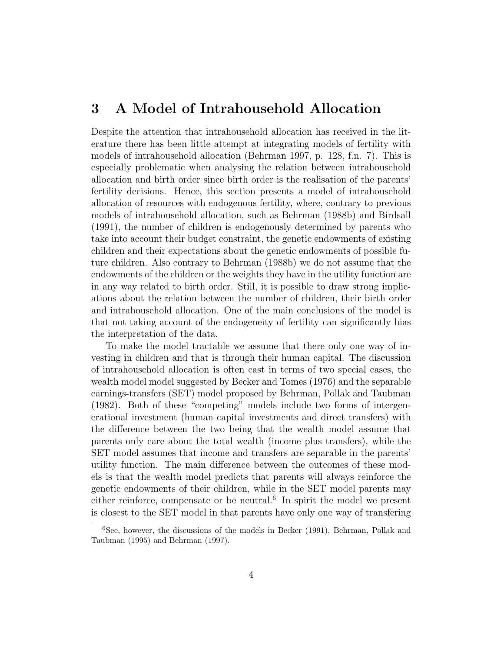# 3 A Model of Intrahousehold Allocation

Despite the attention that intrahousehold allocation has received in the literature there has been little attempt at integrating models of fertility with models of intrahousehold allocation (Behrman 1997, p. 128, f.n. 7). This is especially problematic when analysing the relation between intrahousehold allocation and birth order since birth order is the realisation of the parents' fertility decisions. Hence, this section presents a model of intrahousehold allocation of resources with endogenous fertility, where, contrary to previous models of intrahousehold allocation, such as Behrman (1988b) and Birdsall (1991), the number of children is endogenously determined by parents who take into account their budget constraint, the genetic endowments of existing children and their expectations about the genetic endowments of possible future children. Also contrary to Behrman (1988b) we do not assume that the endowments of the children or the weights they have in the utility function are in any way related to birth order. Still, it is possible to draw strong implications about the relation between the number of children, their birth order and intrahousehold allocation. One of the main conclusions of the model is that not taking account of the endogeneity of fertility can significantly bias the interpretation of the data.

To make the model tractable we assume that there only one way of investing in children and that is through their human capital. The discussion of intrahousehold allocation is often cast in terms of two special cases, the wealth model model suggested by Becker and Tomes (1976) and the separable earnings-transfers (SET) model proposed by Behrman, Pollak and Taubman (1982). Both of these "competing" models include two forms of intergenerational investment (human capital investments and direct transfers) with the difference between the two being that the wealth model assume that parents only care about the total wealth (income plus transfers), while the SET model assumes that income and transfers are separable in the parents' utility function. The main difference between the outcomes of these models is that the wealth model predicts that parents will always reinforce the genetic endowments of their children, while in the SET model parents may either reinforce, compensate or be neutral.<sup>6</sup> In spirit the model we present is closest to the SET model in that parents have only one way of transfering

<sup>6</sup>See, however, the discussions of the models in Becker (1991), Behrman, Pollak and Taubman (1995) and Behrman (1997).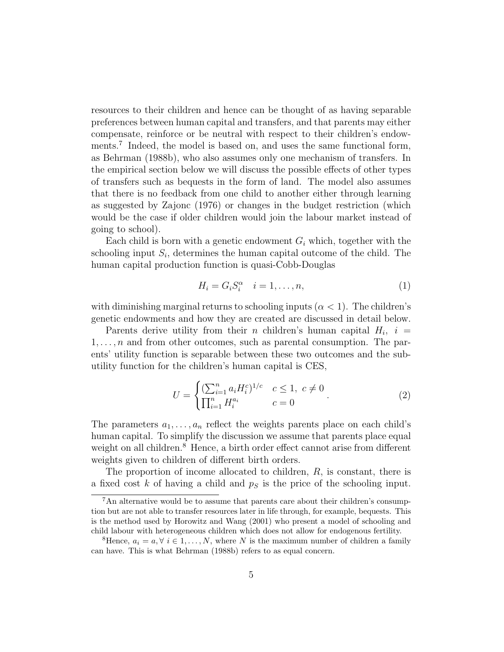resources to their children and hence can be thought of as having separable preferences between human capital and transfers, and that parents may either compensate, reinforce or be neutral with respect to their children's endowments.<sup>7</sup> Indeed, the model is based on, and uses the same functional form, as Behrman (1988b), who also assumes only one mechanism of transfers. In the empirical section below we will discuss the possible effects of other types of transfers such as bequests in the form of land. The model also assumes that there is no feedback from one child to another either through learning as suggested by Zajonc (1976) or changes in the budget restriction (which would be the case if older children would join the labour market instead of going to school).

Each child is born with a genetic endowment  $G_i$  which, together with the schooling input  $S_i$ , determines the human capital outcome of the child. The human capital production function is quasi-Cobb-Douglas

$$
H_i = G_i S_i^{\alpha} \quad i = 1, \dots, n,
$$
\n<sup>(1)</sup>

with diminishing marginal returns to schooling inputs  $(\alpha < 1)$ . The children's genetic endowments and how they are created are discussed in detail below.

Parents derive utility from their *n* children's human capital  $H_i$ ,  $i =$  $1, \ldots, n$  and from other outcomes, such as parental consumption. The parents' utility function is separable between these two outcomes and the subutility function for the children's human capital is CES,

$$
U = \begin{cases} (\sum_{i=1}^{n} a_i H_i^c)^{1/c} & c \le 1, \ c \ne 0 \\ \prod_{i=1}^{n} H_i^{a_i} & c = 0 \end{cases} . \tag{2}
$$

The parameters  $a_1, \ldots, a_n$  reflect the weights parents place on each child's human capital. To simplify the discussion we assume that parents place equal weight on all children.<sup>8</sup> Hence, a birth order effect cannot arise from different weights given to children of different birth orders.

The proportion of income allocated to children, R, is constant, there is a fixed cost  $k$  of having a child and  $p<sub>S</sub>$  is the price of the schooling input.

<sup>7</sup>An alternative would be to assume that parents care about their children's consumption but are not able to transfer resources later in life through, for example, bequests. This is the method used by Horowitz and Wang (2001) who present a model of schooling and child labour with heterogeneous children which does not allow for endogenous fertility.

<sup>&</sup>lt;sup>8</sup>Hence,  $a_i = a, \forall i \in 1, \ldots, N$ , where N is the maximum number of children a family can have. This is what Behrman (1988b) refers to as equal concern.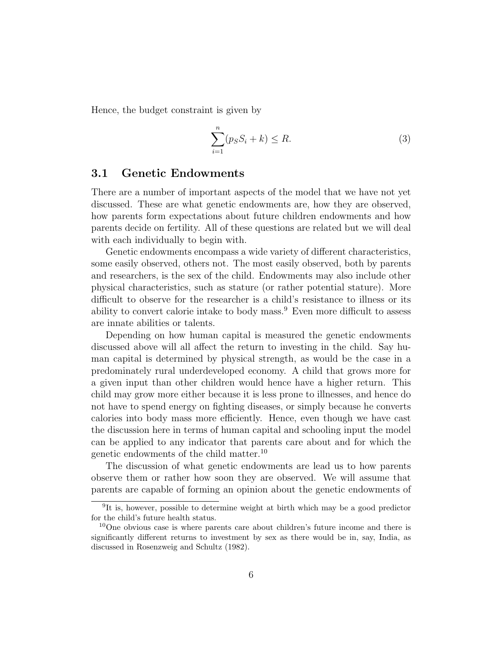Hence, the budget constraint is given by

$$
\sum_{i=1}^{n} (p_S S_i + k) \le R.
$$
\n(3)

### 3.1 Genetic Endowments

There are a number of important aspects of the model that we have not yet discussed. These are what genetic endowments are, how they are observed, how parents form expectations about future children endowments and how parents decide on fertility. All of these questions are related but we will deal with each individually to begin with.

Genetic endowments encompass a wide variety of different characteristics, some easily observed, others not. The most easily observed, both by parents and researchers, is the sex of the child. Endowments may also include other physical characteristics, such as stature (or rather potential stature). More difficult to observe for the researcher is a child's resistance to illness or its ability to convert calorie intake to body mass. $9$  Even more difficult to assess are innate abilities or talents.

Depending on how human capital is measured the genetic endowments discussed above will all affect the return to investing in the child. Say human capital is determined by physical strength, as would be the case in a predominately rural underdeveloped economy. A child that grows more for a given input than other children would hence have a higher return. This child may grow more either because it is less prone to illnesses, and hence do not have to spend energy on fighting diseases, or simply because he converts calories into body mass more efficiently. Hence, even though we have cast the discussion here in terms of human capital and schooling input the model can be applied to any indicator that parents care about and for which the genetic endowments of the child matter.<sup>10</sup>

The discussion of what genetic endowments are lead us to how parents observe them or rather how soon they are observed. We will assume that parents are capable of forming an opinion about the genetic endowments of

<sup>&</sup>lt;sup>9</sup>It is, however, possible to determine weight at birth which may be a good predictor for the child's future health status.

<sup>10</sup>One obvious case is where parents care about children's future income and there is significantly different returns to investment by sex as there would be in, say, India, as discussed in Rosenzweig and Schultz (1982).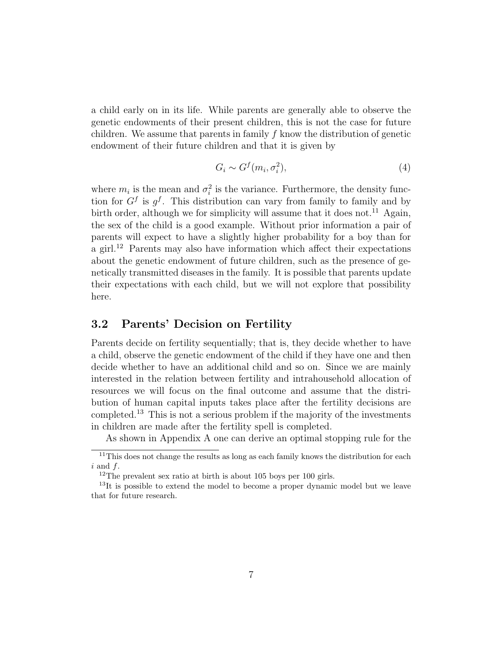a child early on in its life. While parents are generally able to observe the genetic endowments of their present children, this is not the case for future children. We assume that parents in family  $f$  know the distribution of genetic endowment of their future children and that it is given by

$$
G_i \sim G^f(m_i, \sigma_i^2),\tag{4}
$$

where  $m_i$  is the mean and  $\sigma_i^2$  is the variance. Furthermore, the density function for  $G^f$  is  $g^f$ . This distribution can vary from family to family and by birth order, although we for simplicity will assume that it does not.<sup>11</sup> Again, the sex of the child is a good example. Without prior information a pair of parents will expect to have a slightly higher probability for a boy than for a girl.<sup>12</sup> Parents may also have information which affect their expectations about the genetic endowment of future children, such as the presence of genetically transmitted diseases in the family. It is possible that parents update their expectations with each child, but we will not explore that possibility here.

### 3.2 Parents' Decision on Fertility

Parents decide on fertility sequentially; that is, they decide whether to have a child, observe the genetic endowment of the child if they have one and then decide whether to have an additional child and so on. Since we are mainly interested in the relation between fertility and intrahousehold allocation of resources we will focus on the final outcome and assume that the distribution of human capital inputs takes place after the fertility decisions are completed.<sup>13</sup> This is not a serious problem if the majority of the investments in children are made after the fertility spell is completed.

As shown in Appendix A one can derive an optimal stopping rule for the

 $11$ This does not change the results as long as each family knows the distribution for each  $i$  and  $f$ .

 $12$ The prevalent sex ratio at birth is about 105 boys per 100 girls.

 $13$ It is possible to extend the model to become a proper dynamic model but we leave that for future research.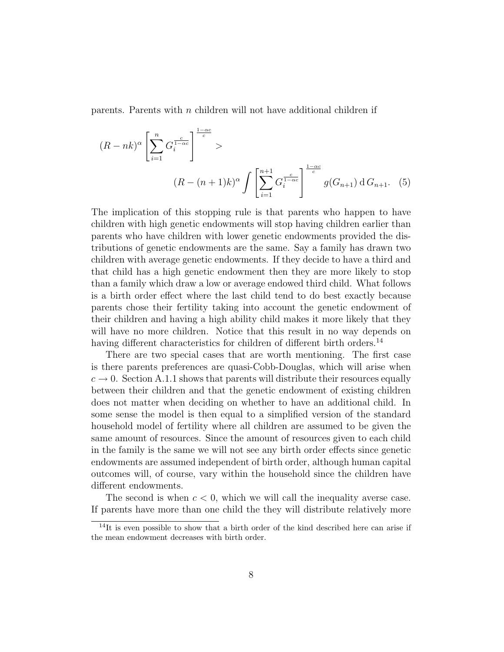parents. Parents with  $n$  children will not have additional children if

$$
(R - nk)^{\alpha} \left[ \sum_{i=1}^{n} G_i^{\frac{c}{1 - \alpha c}} \right]^{\frac{1 - \alpha c}{c}} >
$$
  

$$
(R - (n + 1)k)^{\alpha} \int \left[ \sum_{i=1}^{n+1} G_i^{\frac{c}{1 - \alpha c}} \right]^{\frac{1 - \alpha c}{c}} g(G_{n+1}) dG_{n+1}.
$$
 (5)

The implication of this stopping rule is that parents who happen to have children with high genetic endowments will stop having children earlier than parents who have children with lower genetic endowments provided the distributions of genetic endowments are the same. Say a family has drawn two children with average genetic endowments. If they decide to have a third and that child has a high genetic endowment then they are more likely to stop than a family which draw a low or average endowed third child. What follows is a birth order effect where the last child tend to do best exactly because parents chose their fertility taking into account the genetic endowment of their children and having a high ability child makes it more likely that they will have no more children. Notice that this result in no way depends on having different characteristics for children of different birth orders.<sup>14</sup>

There are two special cases that are worth mentioning. The first case is there parents preferences are quasi-Cobb-Douglas, which will arise when  $c \to 0$ . Section A.1.1 shows that parents will distribute their resources equally between their children and that the genetic endowment of existing children does not matter when deciding on whether to have an additional child. In some sense the model is then equal to a simplified version of the standard household model of fertility where all children are assumed to be given the same amount of resources. Since the amount of resources given to each child in the family is the same we will not see any birth order effects since genetic endowments are assumed independent of birth order, although human capital outcomes will, of course, vary within the household since the children have different endowments.

The second is when  $c < 0$ , which we will call the inequality averse case. If parents have more than one child the they will distribute relatively more

 $14$ It is even possible to show that a birth order of the kind described here can arise if the mean endowment decreases with birth order.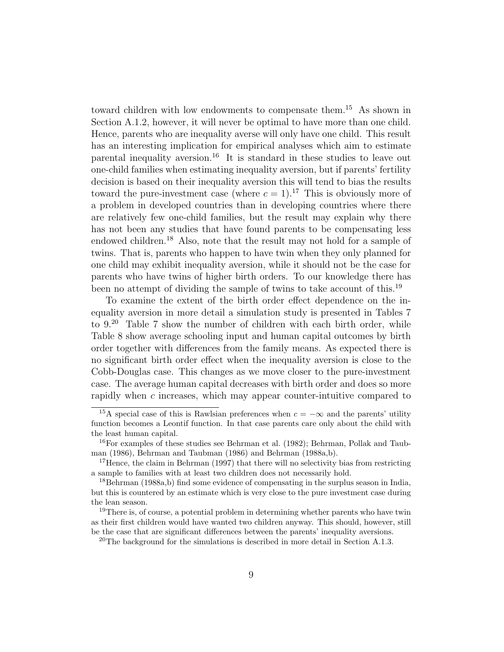toward children with low endowments to compensate them.<sup>15</sup> As shown in Section A.1.2, however, it will never be optimal to have more than one child. Hence, parents who are inequality averse will only have one child. This result has an interesting implication for empirical analyses which aim to estimate parental inequality aversion.<sup>16</sup> It is standard in these studies to leave out one-child families when estimating inequality aversion, but if parents' fertility decision is based on their inequality aversion this will tend to bias the results toward the pure-investment case (where  $c = 1$ ).<sup>17</sup> This is obviously more of a problem in developed countries than in developing countries where there are relatively few one-child families, but the result may explain why there has not been any studies that have found parents to be compensating less endowed children.<sup>18</sup> Also, note that the result may not hold for a sample of twins. That is, parents who happen to have twin when they only planned for one child may exhibit inequality aversion, while it should not be the case for parents who have twins of higher birth orders. To our knowledge there has been no attempt of dividing the sample of twins to take account of this.<sup>19</sup>

To examine the extent of the birth order effect dependence on the inequality aversion in more detail a simulation study is presented in Tables 7 to 9.<sup>20</sup> Table 7 show the number of children with each birth order, while Table 8 show average schooling input and human capital outcomes by birth order together with differences from the family means. As expected there is no significant birth order effect when the inequality aversion is close to the Cobb-Douglas case. This changes as we move closer to the pure-investment case. The average human capital decreases with birth order and does so more rapidly when c increases, which may appear counter-intuitive compared to

<sup>&</sup>lt;sup>15</sup>A special case of this is Rawlsian preferences when  $c = -\infty$  and the parents' utility function becomes a Leontif function. In that case parents care only about the child with the least human capital.

<sup>16</sup>For examples of these studies see Behrman et al. (1982); Behrman, Pollak and Taubman (1986), Behrman and Taubman (1986) and Behrman (1988a,b).

<sup>&</sup>lt;sup>17</sup>Hence, the claim in Behrman  $(1997)$  that there will no selectivity bias from restricting a sample to families with at least two children does not necessarily hold.

<sup>18</sup>Behrman (1988a,b) find some evidence of compensating in the surplus season in India, but this is countered by an estimate which is very close to the pure investment case during the lean season.

<sup>&</sup>lt;sup>19</sup>There is, of course, a potential problem in determining whether parents who have twin as their first children would have wanted two children anyway. This should, however, still be the case that are significant differences between the parents' inequality aversions.

<sup>&</sup>lt;sup>20</sup>The background for the simulations is described in more detail in Section A.1.3.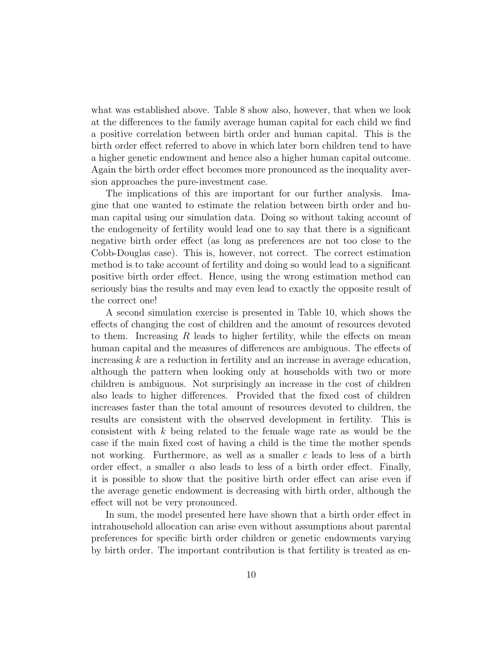what was established above. Table 8 show also, however, that when we look at the differences to the family average human capital for each child we find a positive correlation between birth order and human capital. This is the birth order effect referred to above in which later born children tend to have a higher genetic endowment and hence also a higher human capital outcome. Again the birth order effect becomes more pronounced as the inequality aversion approaches the pure-investment case.

The implications of this are important for our further analysis. Imagine that one wanted to estimate the relation between birth order and human capital using our simulation data. Doing so without taking account of the endogeneity of fertility would lead one to say that there is a significant negative birth order effect (as long as preferences are not too close to the Cobb-Douglas case). This is, however, not correct. The correct estimation method is to take account of fertility and doing so would lead to a significant positive birth order effect. Hence, using the wrong estimation method can seriously bias the results and may even lead to exactly the opposite result of the correct one!

A second simulation exercise is presented in Table 10, which shows the effects of changing the cost of children and the amount of resources devoted to them. Increasing  $R$  leads to higher fertility, while the effects on mean human capital and the measures of differences are ambiguous. The effects of increasing  $k$  are a reduction in fertility and an increase in average education, although the pattern when looking only at households with two or more children is ambiguous. Not surprisingly an increase in the cost of children also leads to higher differences. Provided that the fixed cost of children increases faster than the total amount of resources devoted to children, the results are consistent with the observed development in fertility. This is consistent with k being related to the female wage rate as would be the case if the main fixed cost of having a child is the time the mother spends not working. Furthermore, as well as a smaller c leads to less of a birth order effect, a smaller  $\alpha$  also leads to less of a birth order effect. Finally, it is possible to show that the positive birth order effect can arise even if the average genetic endowment is decreasing with birth order, although the effect will not be very pronounced.

In sum, the model presented here have shown that a birth order effect in intrahousehold allocation can arise even without assumptions about parental preferences for specific birth order children or genetic endowments varying by birth order. The important contribution is that fertility is treated as en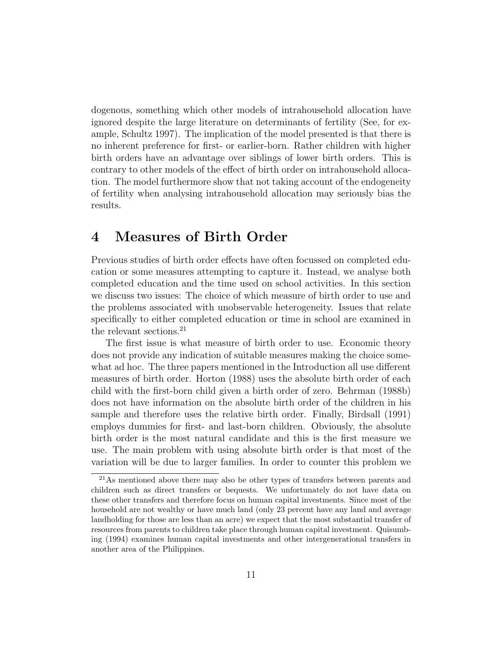dogenous, something which other models of intrahousehold allocation have ignored despite the large literature on determinants of fertility (See, for example, Schultz 1997). The implication of the model presented is that there is no inherent preference for first- or earlier-born. Rather children with higher birth orders have an advantage over siblings of lower birth orders. This is contrary to other models of the effect of birth order on intrahousehold allocation. The model furthermore show that not taking account of the endogeneity of fertility when analysing intrahousehold allocation may seriously bias the results.

### 4 Measures of Birth Order

Previous studies of birth order effects have often focussed on completed education or some measures attempting to capture it. Instead, we analyse both completed education and the time used on school activities. In this section we discuss two issues: The choice of which measure of birth order to use and the problems associated with unobservable heterogeneity. Issues that relate specifically to either completed education or time in school are examined in the relevant sections.<sup>21</sup>

The first issue is what measure of birth order to use. Economic theory does not provide any indication of suitable measures making the choice somewhat ad hoc. The three papers mentioned in the Introduction all use different measures of birth order. Horton (1988) uses the absolute birth order of each child with the first-born child given a birth order of zero. Behrman (1988b) does not have information on the absolute birth order of the children in his sample and therefore uses the relative birth order. Finally, Birdsall (1991) employs dummies for first- and last-born children. Obviously, the absolute birth order is the most natural candidate and this is the first measure we use. The main problem with using absolute birth order is that most of the variation will be due to larger families. In order to counter this problem we

<sup>21</sup>As mentioned above there may also be other types of transfers between parents and children such as direct transfers or bequests. We unfortunately do not have data on these other transfers and therefore focus on human capital investments. Since most of the household are not wealthy or have much land (only 23 percent have any land and average landholding for those are less than an acre) we expect that the most substantial transfer of resources from parents to children take place through human capital investment. Quisumbing (1994) examines human capital investments and other intergenerational transfers in another area of the Philippines.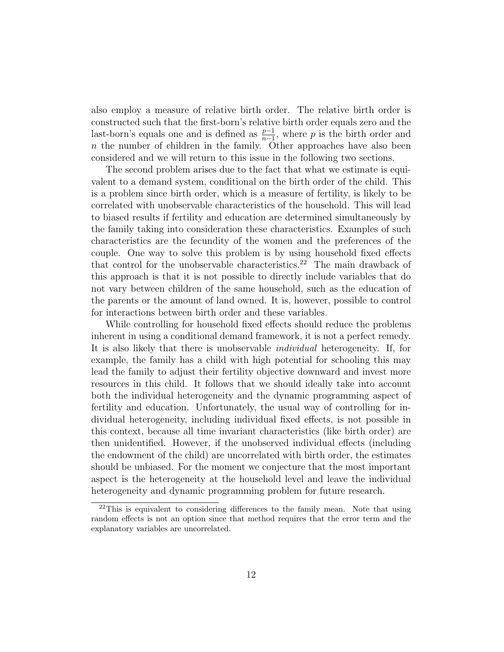also employ a measure of relative birth order. The relative birth order is constructed such that the first-born's relative birth order equals zero and the last-born's equals one and is defined as  $\frac{p-1}{n-1}$ , where p is the birth order and  $n$  the number of children in the family. Other approaches have also been considered and we will return to this issue in the following two sections.

The second problem arises due to the fact that what we estimate is equivalent to a demand system, conditional on the birth order of the child. This is a problem since birth order, which is a measure of fertility, is likely to be correlated with unobservable characteristics of the household. This will lead to biased results if fertility and education are determined simultaneously by the family taking into consideration these characteristics. Examples of such characteristics are the fecundity of the women and the preferences of the couple. One way to solve this problem is by using household fixed effects that control for the unobservable characteristics.<sup>22</sup> The main drawback of this approach is that it is not possible to directly include variables that do not vary between children of the same household, such as the education of the parents or the amount of land owned. It is, however, possible to control for interactions between birth order and these variables.

While controlling for household fixed effects should reduce the problems inherent in using a conditional demand framework, it is not a perfect remedy. It is also likely that there is unobservable individual heterogeneity. If, for example, the family has a child with high potential for schooling this may lead the family to adjust their fertility objective downward and invest more resources in this child. It follows that we should ideally take into account both the individual heterogeneity and the dynamic programming aspect of fertility and education. Unfortunately, the usual way of controlling for individual heterogeneity, including individual fixed effects, is not possible in this context, because all time invariant characteristics (like birth order) are then unidentified. However, if the unobserved individual effects (including the endowment of the child) are uncorrelated with birth order, the estimates should be unbiased. For the moment we conjecture that the most important aspect is the heterogeneity at the household level and leave the individual heterogeneity and dynamic programming problem for future research.

 $22$ This is equivalent to considering differences to the family mean. Note that using random effects is not an option since that method requires that the error term and the explanatory variables are uncorrelated.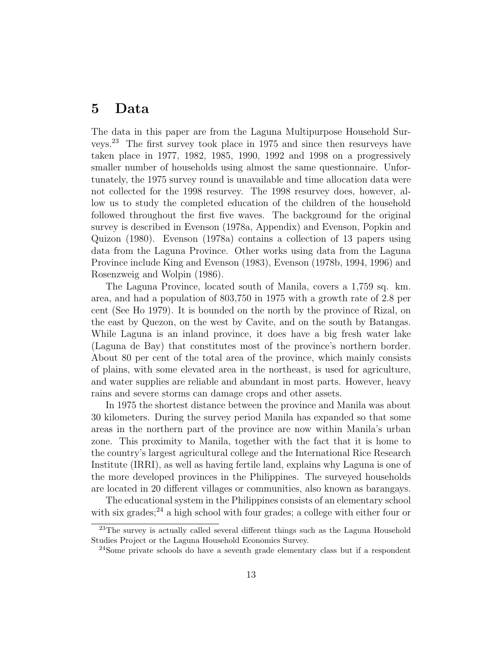### 5 Data

The data in this paper are from the Laguna Multipurpose Household Surveys.<sup>23</sup> The first survey took place in 1975 and since then resurveys have taken place in 1977, 1982, 1985, 1990, 1992 and 1998 on a progressively smaller number of households using almost the same questionnaire. Unfortunately, the 1975 survey round is unavailable and time allocation data were not collected for the 1998 resurvey. The 1998 resurvey does, however, allow us to study the completed education of the children of the household followed throughout the first five waves. The background for the original survey is described in Evenson (1978a, Appendix) and Evenson, Popkin and Quizon (1980). Evenson (1978a) contains a collection of 13 papers using data from the Laguna Province. Other works using data from the Laguna Province include King and Evenson (1983), Evenson (1978b, 1994, 1996) and Rosenzweig and Wolpin (1986).

The Laguna Province, located south of Manila, covers a 1,759 sq. km. area, and had a population of 803,750 in 1975 with a growth rate of 2.8 per cent (See Ho 1979). It is bounded on the north by the province of Rizal, on the east by Quezon, on the west by Cavite, and on the south by Batangas. While Laguna is an inland province, it does have a big fresh water lake (Laguna de Bay) that constitutes most of the province's northern border. About 80 per cent of the total area of the province, which mainly consists of plains, with some elevated area in the northeast, is used for agriculture, and water supplies are reliable and abundant in most parts. However, heavy rains and severe storms can damage crops and other assets.

In 1975 the shortest distance between the province and Manila was about 30 kilometers. During the survey period Manila has expanded so that some areas in the northern part of the province are now within Manila's urban zone. This proximity to Manila, together with the fact that it is home to the country's largest agricultural college and the International Rice Research Institute (IRRI), as well as having fertile land, explains why Laguna is one of the more developed provinces in the Philippines. The surveyed households are located in 20 different villages or communities, also known as barangays.

The educational system in the Philippines consists of an elementary school with six grades; $^{24}$  a high school with four grades; a college with either four or

<sup>&</sup>lt;sup>23</sup>The survey is actually called several different things such as the Laguna Household Studies Project or the Laguna Household Economics Survey.

<sup>&</sup>lt;sup>24</sup>Some private schools do have a seventh grade elementary class but if a respondent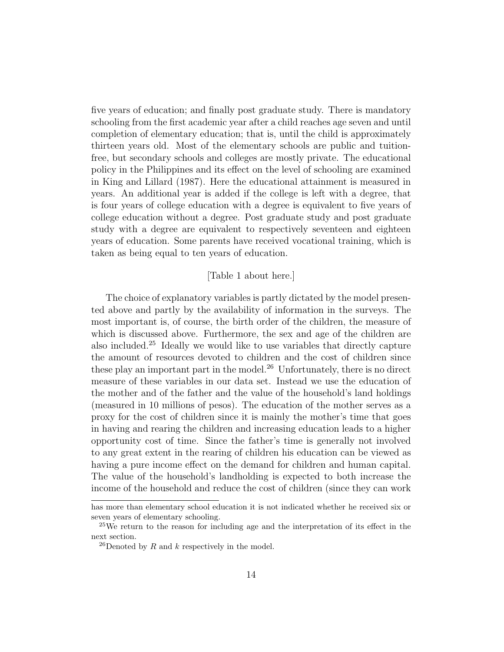five years of education; and finally post graduate study. There is mandatory schooling from the first academic year after a child reaches age seven and until completion of elementary education; that is, until the child is approximately thirteen years old. Most of the elementary schools are public and tuitionfree, but secondary schools and colleges are mostly private. The educational policy in the Philippines and its effect on the level of schooling are examined in King and Lillard (1987). Here the educational attainment is measured in years. An additional year is added if the college is left with a degree, that is four years of college education with a degree is equivalent to five years of college education without a degree. Post graduate study and post graduate study with a degree are equivalent to respectively seventeen and eighteen years of education. Some parents have received vocational training, which is taken as being equal to ten years of education.

#### [Table 1 about here.]

The choice of explanatory variables is partly dictated by the model presented above and partly by the availability of information in the surveys. The most important is, of course, the birth order of the children, the measure of which is discussed above. Furthermore, the sex and age of the children are also included.<sup>25</sup> Ideally we would like to use variables that directly capture the amount of resources devoted to children and the cost of children since these play an important part in the model.<sup>26</sup> Unfortunately, there is no direct measure of these variables in our data set. Instead we use the education of the mother and of the father and the value of the household's land holdings (measured in 10 millions of pesos). The education of the mother serves as a proxy for the cost of children since it is mainly the mother's time that goes in having and rearing the children and increasing education leads to a higher opportunity cost of time. Since the father's time is generally not involved to any great extent in the rearing of children his education can be viewed as having a pure income effect on the demand for children and human capital. The value of the household's landholding is expected to both increase the income of the household and reduce the cost of children (since they can work

has more than elementary school education it is not indicated whether he received six or seven years of elementary schooling.

<sup>&</sup>lt;sup>25</sup>We return to the reason for including age and the interpretation of its effect in the next section.

<sup>&</sup>lt;sup>26</sup>Denoted by R and k respectively in the model.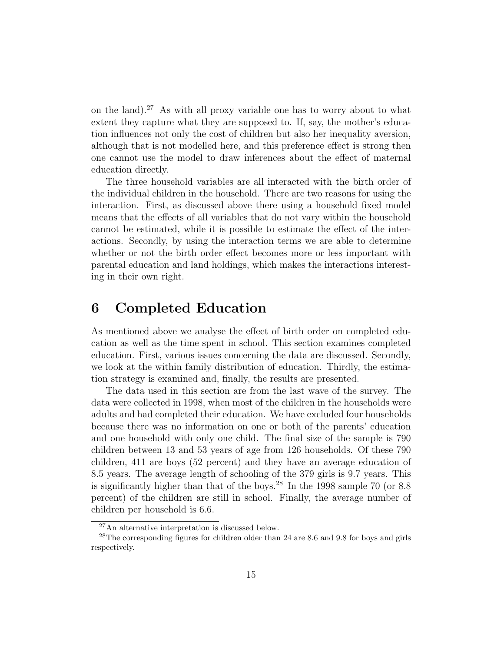on the land).<sup>27</sup> As with all proxy variable one has to worry about to what extent they capture what they are supposed to. If, say, the mother's education influences not only the cost of children but also her inequality aversion, although that is not modelled here, and this preference effect is strong then one cannot use the model to draw inferences about the effect of maternal education directly.

The three household variables are all interacted with the birth order of the individual children in the household. There are two reasons for using the interaction. First, as discussed above there using a household fixed model means that the effects of all variables that do not vary within the household cannot be estimated, while it is possible to estimate the effect of the interactions. Secondly, by using the interaction terms we are able to determine whether or not the birth order effect becomes more or less important with parental education and land holdings, which makes the interactions interesting in their own right.

# 6 Completed Education

As mentioned above we analyse the effect of birth order on completed education as well as the time spent in school. This section examines completed education. First, various issues concerning the data are discussed. Secondly, we look at the within family distribution of education. Thirdly, the estimation strategy is examined and, finally, the results are presented.

The data used in this section are from the last wave of the survey. The data were collected in 1998, when most of the children in the households were adults and had completed their education. We have excluded four households because there was no information on one or both of the parents' education and one household with only one child. The final size of the sample is 790 children between 13 and 53 years of age from 126 households. Of these 790 children, 411 are boys (52 percent) and they have an average education of 8.5 years. The average length of schooling of the 379 girls is 9.7 years. This is significantly higher than that of the boys.<sup>28</sup> In the 1998 sample 70 (or 8.8) percent) of the children are still in school. Finally, the average number of children per household is 6.6.

<sup>27</sup>An alternative interpretation is discussed below.

<sup>28</sup>The corresponding figures for children older than 24 are 8.6 and 9.8 for boys and girls respectively.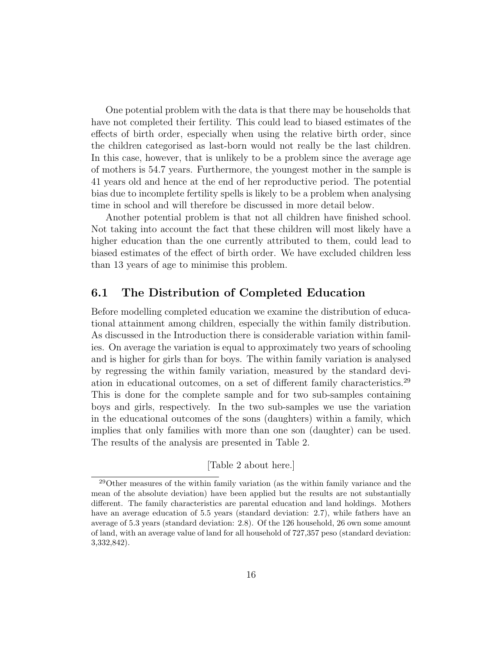One potential problem with the data is that there may be households that have not completed their fertility. This could lead to biased estimates of the effects of birth order, especially when using the relative birth order, since the children categorised as last-born would not really be the last children. In this case, however, that is unlikely to be a problem since the average age of mothers is 54.7 years. Furthermore, the youngest mother in the sample is 41 years old and hence at the end of her reproductive period. The potential bias due to incomplete fertility spells is likely to be a problem when analysing time in school and will therefore be discussed in more detail below.

Another potential problem is that not all children have finished school. Not taking into account the fact that these children will most likely have a higher education than the one currently attributed to them, could lead to biased estimates of the effect of birth order. We have excluded children less than 13 years of age to minimise this problem.

### 6.1 The Distribution of Completed Education

Before modelling completed education we examine the distribution of educational attainment among children, especially the within family distribution. As discussed in the Introduction there is considerable variation within families. On average the variation is equal to approximately two years of schooling and is higher for girls than for boys. The within family variation is analysed by regressing the within family variation, measured by the standard deviation in educational outcomes, on a set of different family characteristics.<sup>29</sup> This is done for the complete sample and for two sub-samples containing boys and girls, respectively. In the two sub-samples we use the variation in the educational outcomes of the sons (daughters) within a family, which implies that only families with more than one son (daughter) can be used. The results of the analysis are presented in Table 2.

[Table 2 about here.]

<sup>29</sup>Other measures of the within family variation (as the within family variance and the mean of the absolute deviation) have been applied but the results are not substantially different. The family characteristics are parental education and land holdings. Mothers have an average education of 5.5 years (standard deviation: 2.7), while fathers have an average of 5.3 years (standard deviation: 2.8). Of the 126 household, 26 own some amount of land, with an average value of land for all household of 727,357 peso (standard deviation: 3,332,842).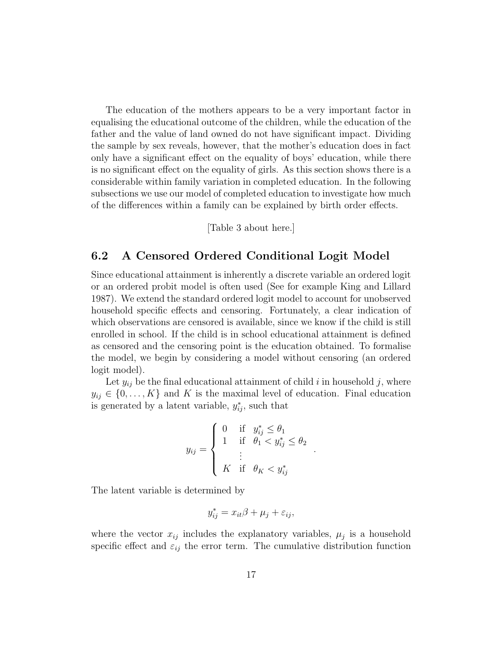The education of the mothers appears to be a very important factor in equalising the educational outcome of the children, while the education of the father and the value of land owned do not have significant impact. Dividing the sample by sex reveals, however, that the mother's education does in fact only have a significant effect on the equality of boys' education, while there is no significant effect on the equality of girls. As this section shows there is a considerable within family variation in completed education. In the following subsections we use our model of completed education to investigate how much of the differences within a family can be explained by birth order effects.

[Table 3 about here.]

### 6.2 A Censored Ordered Conditional Logit Model

Since educational attainment is inherently a discrete variable an ordered logit or an ordered probit model is often used (See for example King and Lillard 1987). We extend the standard ordered logit model to account for unobserved household specific effects and censoring. Fortunately, a clear indication of which observations are censored is available, since we know if the child is still enrolled in school. If the child is in school educational attainment is defined as censored and the censoring point is the education obtained. To formalise the model, we begin by considering a model without censoring (an ordered logit model).

Let  $y_{ij}$  be the final educational attainment of child i in household j, where  $y_{ij} \in \{0, \ldots, K\}$  and K is the maximal level of education. Final education is generated by a latent variable,  $y_{ij}^*$ , such that

$$
y_{ij} = \begin{cases} 0 & \text{if } y_{ij}^* \leq \theta_1 \\ 1 & \text{if } \theta_1 < y_{ij}^* \leq \theta_2 \\ \vdots & \\ K & \text{if } \theta_K < y_{ij}^* \end{cases}
$$

.

The latent variable is determined by

$$
y_{ij}^* = x_{it}\beta + \mu_j + \varepsilon_{ij},
$$

where the vector  $x_{ij}$  includes the explanatory variables,  $\mu_j$  is a household specific effect and  $\varepsilon_{ij}$  the error term. The cumulative distribution function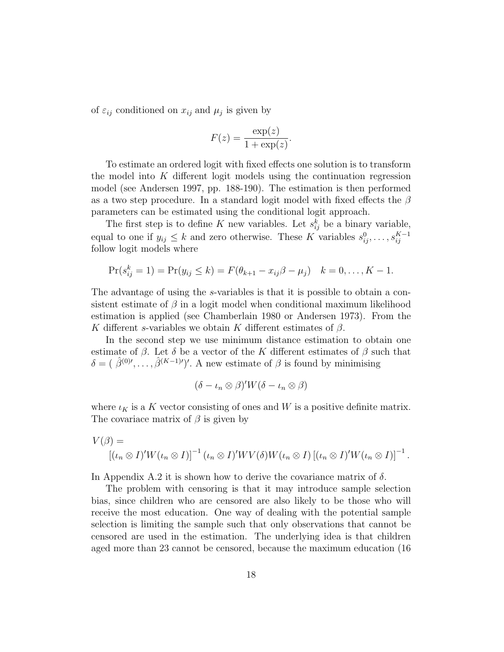of  $\varepsilon_{ij}$  conditioned on  $x_{ij}$  and  $\mu_j$  is given by

$$
F(z) = \frac{\exp(z)}{1 + \exp(z)}.
$$

To estimate an ordered logit with fixed effects one solution is to transform the model into  $K$  different logit models using the continuation regression model (see Andersen 1997, pp. 188-190). The estimation is then performed as a two step procedure. In a standard logit model with fixed effects the  $\beta$ parameters can be estimated using the conditional logit approach.

The first step is to define K new variables. Let  $s_{ij}^k$  be a binary variable, equal to one if  $y_{ij} \leq k$  and zero otherwise. These K variables  $s_{ij}^0, \ldots, s_{ij}^{K-1}$ follow logit models where

$$
Pr(s_{ij}^k = 1) = Pr(y_{ij} \le k) = F(\theta_{k+1} - x_{ij}\beta - \mu_j) \quad k = 0, ..., K - 1.
$$

The advantage of using the s-variables is that it is possible to obtain a consistent estimate of  $\beta$  in a logit model when conditional maximum likelihood estimation is applied (see Chamberlain 1980 or Andersen 1973). From the K different s-variables we obtain K different estimates of  $\beta$ .

In the second step we use minimum distance estimation to obtain one estimate of  $\beta$ . Let  $\delta$  be a vector of the K different estimates of  $\beta$  such that  $\delta = (\hat{\beta}^{(0)}, \ldots, \hat{\beta}^{(K-1)}')'$ . A new estimate of  $\beta$  is found by minimising

$$
(\delta - \iota_n \otimes \beta)'W(\delta - \iota_n \otimes \beta)
$$

where  $\iota_K$  is a K vector consisting of ones and W is a positive definite matrix. The covariace matrix of  $\beta$  is given by

$$
V(\beta) = \left[ (\iota_n \otimes I)' W (\iota_n \otimes I) \right]^{-1} (\iota_n \otimes I)' W V(\delta) W (\iota_n \otimes I) \left[ (\iota_n \otimes I)' W (\iota_n \otimes I) \right]^{-1}.
$$

In Appendix A.2 it is shown how to derive the covariance matrix of  $\delta$ .

The problem with censoring is that it may introduce sample selection bias, since children who are censored are also likely to be those who will receive the most education. One way of dealing with the potential sample selection is limiting the sample such that only observations that cannot be censored are used in the estimation. The underlying idea is that children aged more than 23 cannot be censored, because the maximum education (16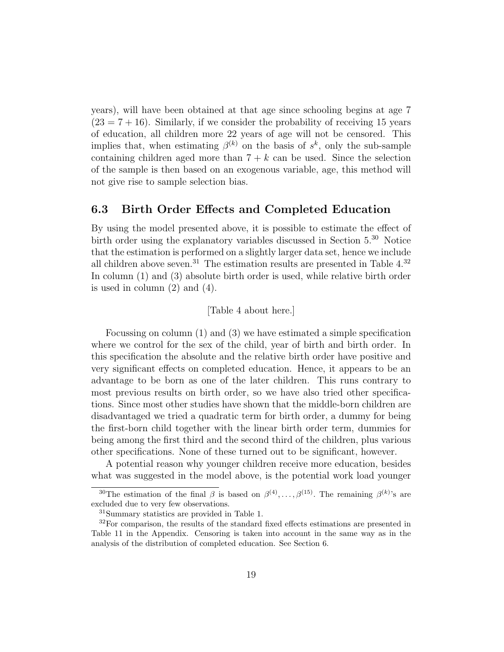years), will have been obtained at that age since schooling begins at age 7  $(23 = 7 + 16)$ . Similarly, if we consider the probability of receiving 15 years of education, all children more 22 years of age will not be censored. This implies that, when estimating  $\beta^{(k)}$  on the basis of  $s^k$ , only the sub-sample containing children aged more than  $7 + k$  can be used. Since the selection of the sample is then based on an exogenous variable, age, this method will not give rise to sample selection bias.

### 6.3 Birth Order Effects and Completed Education

By using the model presented above, it is possible to estimate the effect of birth order using the explanatory variables discussed in Section 5.<sup>30</sup> Notice that the estimation is performed on a slightly larger data set, hence we include all children above seven.<sup>31</sup> The estimation results are presented in Table  $4^{32}$ In column (1) and (3) absolute birth order is used, while relative birth order is used in column (2) and (4).

#### [Table 4 about here.]

Focussing on column (1) and (3) we have estimated a simple specification where we control for the sex of the child, year of birth and birth order. In this specification the absolute and the relative birth order have positive and very significant effects on completed education. Hence, it appears to be an advantage to be born as one of the later children. This runs contrary to most previous results on birth order, so we have also tried other specifications. Since most other studies have shown that the middle-born children are disadvantaged we tried a quadratic term for birth order, a dummy for being the first-born child together with the linear birth order term, dummies for being among the first third and the second third of the children, plus various other specifications. None of these turned out to be significant, however.

A potential reason why younger children receive more education, besides what was suggested in the model above, is the potential work load younger

<sup>&</sup>lt;sup>30</sup>The estimation of the final  $\beta$  is based on  $\beta^{(4)}, \ldots, \beta^{(15)}$ . The remaining  $\beta^{(k)}$ 's are excluded due to very few observations.

<sup>31</sup>Summary statistics are provided in Table 1.

 $32$ For comparison, the results of the standard fixed effects estimations are presented in Table 11 in the Appendix. Censoring is taken into account in the same way as in the analysis of the distribution of completed education. See Section 6.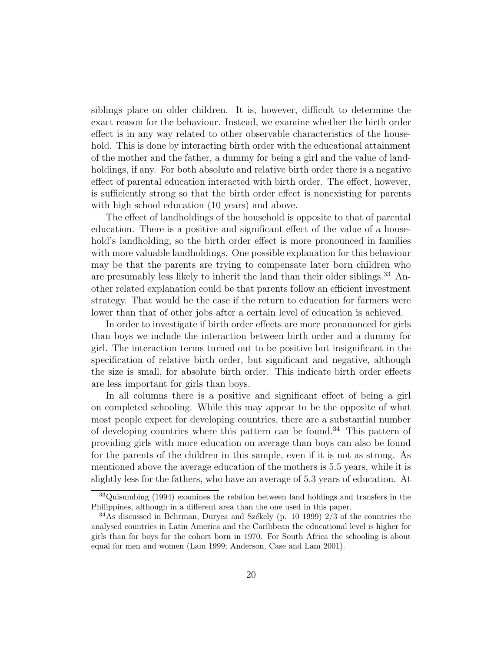siblings place on older children. It is, however, difficult to determine the exact reason for the behaviour. Instead, we examine whether the birth order effect is in any way related to other observable characteristics of the household. This is done by interacting birth order with the educational attainment of the mother and the father, a dummy for being a girl and the value of landholdings, if any. For both absolute and relative birth order there is a negative effect of parental education interacted with birth order. The effect, however, is sufficiently strong so that the birth order effect is nonexisting for parents with high school education (10 years) and above.

The effect of landholdings of the household is opposite to that of parental education. There is a positive and significant effect of the value of a household's landholding, so the birth order effect is more pronounced in families with more valuable landholdings. One possible explanation for this behaviour may be that the parents are trying to compensate later born children who are presumably less likely to inherit the land than their older siblings.<sup>33</sup> Another related explanation could be that parents follow an efficient investment strategy. That would be the case if the return to education for farmers were lower than that of other jobs after a certain level of education is achieved.

In order to investigate if birth order effects are more pronauonced for girls than boys we include the interaction between birth order and a dummy for girl. The interaction terms turned out to be positive but insignificant in the specification of relative birth order, but significant and negative, although the size is small, for absolute birth order. This indicate birth order effects are less important for girls than boys.

In all columns there is a positive and significant effect of being a girl on completed schooling. While this may appear to be the opposite of what most people expect for developing countries, there are a substantial number of developing countries where this pattern can be found.<sup>34</sup> This pattern of providing girls with more education on average than boys can also be found for the parents of the children in this sample, even if it is not as strong. As mentioned above the average education of the mothers is 5.5 years, while it is slightly less for the fathers, who have an average of 5.3 years of education. At

<sup>33</sup>Quisumbing (1994) examines the relation between land holdings and transfers in the Philippines, although in a different area than the one used in this paper.

 $34$ As discussed in Behrman, Duryea and Székely (p. 10 1999) 2/3 of the countries the analysed countries in Latin America and the Caribbean the educational level is higher for girls than for boys for the cohort born in 1970. For South Africa the schooling is about equal for men and women (Lam 1999; Anderson, Case and Lam 2001).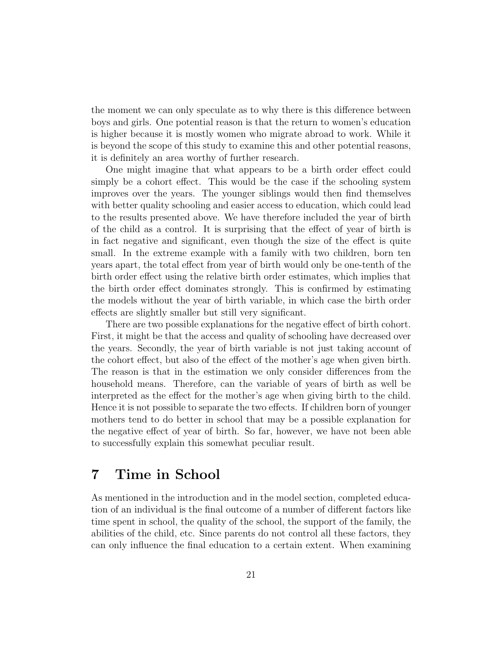the moment we can only speculate as to why there is this difference between boys and girls. One potential reason is that the return to women's education is higher because it is mostly women who migrate abroad to work. While it is beyond the scope of this study to examine this and other potential reasons, it is definitely an area worthy of further research.

One might imagine that what appears to be a birth order effect could simply be a cohort effect. This would be the case if the schooling system improves over the years. The younger siblings would then find themselves with better quality schooling and easier access to education, which could lead to the results presented above. We have therefore included the year of birth of the child as a control. It is surprising that the effect of year of birth is in fact negative and significant, even though the size of the effect is quite small. In the extreme example with a family with two children, born ten years apart, the total effect from year of birth would only be one-tenth of the birth order effect using the relative birth order estimates, which implies that the birth order effect dominates strongly. This is confirmed by estimating the models without the year of birth variable, in which case the birth order effects are slightly smaller but still very significant.

There are two possible explanations for the negative effect of birth cohort. First, it might be that the access and quality of schooling have decreased over the years. Secondly, the year of birth variable is not just taking account of the cohort effect, but also of the effect of the mother's age when given birth. The reason is that in the estimation we only consider differences from the household means. Therefore, can the variable of years of birth as well be interpreted as the effect for the mother's age when giving birth to the child. Hence it is not possible to separate the two effects. If children born of younger mothers tend to do better in school that may be a possible explanation for the negative effect of year of birth. So far, however, we have not been able to successfully explain this somewhat peculiar result.

### 7 Time in School

As mentioned in the introduction and in the model section, completed education of an individual is the final outcome of a number of different factors like time spent in school, the quality of the school, the support of the family, the abilities of the child, etc. Since parents do not control all these factors, they can only influence the final education to a certain extent. When examining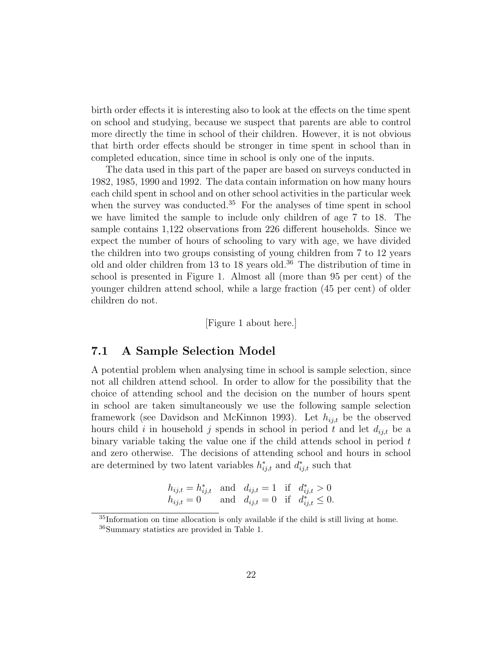birth order effects it is interesting also to look at the effects on the time spent on school and studying, because we suspect that parents are able to control more directly the time in school of their children. However, it is not obvious that birth order effects should be stronger in time spent in school than in completed education, since time in school is only one of the inputs.

The data used in this part of the paper are based on surveys conducted in 1982, 1985, 1990 and 1992. The data contain information on how many hours each child spent in school and on other school activities in the particular week when the survey was conducted.<sup>35</sup> For the analyses of time spent in school we have limited the sample to include only children of age 7 to 18. The sample contains 1,122 observations from 226 different households. Since we expect the number of hours of schooling to vary with age, we have divided the children into two groups consisting of young children from 7 to 12 years old and older children from 13 to 18 years old.<sup>36</sup> The distribution of time in school is presented in Figure 1. Almost all (more than 95 per cent) of the younger children attend school, while a large fraction (45 per cent) of older children do not.

[Figure 1 about here.]

### 7.1 A Sample Selection Model

A potential problem when analysing time in school is sample selection, since not all children attend school. In order to allow for the possibility that the choice of attending school and the decision on the number of hours spent in school are taken simultaneously we use the following sample selection framework (see Davidson and McKinnon 1993). Let  $h_{ij,t}$  be the observed hours child i in household j spends in school in period t and let  $d_{ij,t}$  be a binary variable taking the value one if the child attends school in period  $t$ and zero otherwise. The decisions of attending school and hours in school are determined by two latent variables  $h_{ij,t}^*$  and  $d_{ij,t}^*$  such that

$$
h_{ij,t} = h_{ij,t}^{*} \text{ and } d_{ij,t} = 1 \text{ if } d_{ij,t}^{*} > 0
$$
  
\n
$$
h_{ij,t} = 0 \text{ and } d_{ij,t} = 0 \text{ if } d_{ij,t}^{*} \leq 0.
$$

<sup>35</sup>Information on time allocation is only available if the child is still living at home.

<sup>36</sup>Summary statistics are provided in Table 1.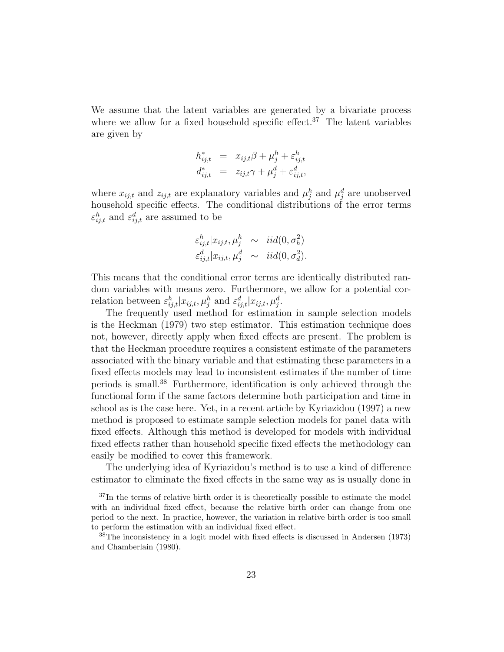We assume that the latent variables are generated by a bivariate process where we allow for a fixed household specific effect.<sup>37</sup> The latent variables are given by

$$
h_{ij,t}^* = x_{ij,t}\beta + \mu_j^h + \varepsilon_{ij,t}^h
$$
  

$$
d_{ij,t}^* = z_{ij,t}\gamma + \mu_j^d + \varepsilon_{ij,t}^d,
$$

where  $x_{ij,t}$  and  $z_{ij,t}$  are explanatory variables and  $\mu_j^h$  and  $\mu_j^d$  are unobserved household specific effects. The conditional distributions of the error terms  $\varepsilon_{ij,t}^h$  and  $\varepsilon_{ij,t}^d$  are assumed to be

$$
\varepsilon_{ij,t}^h | x_{ij,t}, \mu_j^h \sim \text{iid}(0, \sigma_h^2)
$$
  

$$
\varepsilon_{ij,t}^d | x_{ij,t}, \mu_j^d \sim \text{iid}(0, \sigma_d^2).
$$

This means that the conditional error terms are identically distributed random variables with means zero. Furthermore, we allow for a potential correlation between  $\varepsilon_{ij,t}^h | x_{ij,t}, \mu_j^h$  and  $\varepsilon_{ij,t}^d | x_{ij,t}, \mu_j^d$ .

The frequently used method for estimation in sample selection models is the Heckman (1979) two step estimator. This estimation technique does not, however, directly apply when fixed effects are present. The problem is that the Heckman procedure requires a consistent estimate of the parameters associated with the binary variable and that estimating these parameters in a fixed effects models may lead to inconsistent estimates if the number of time periods is small.<sup>38</sup> Furthermore, identification is only achieved through the functional form if the same factors determine both participation and time in school as is the case here. Yet, in a recent article by Kyriazidou (1997) a new method is proposed to estimate sample selection models for panel data with fixed effects. Although this method is developed for models with individual fixed effects rather than household specific fixed effects the methodology can easily be modified to cover this framework.

The underlying idea of Kyriazidou's method is to use a kind of difference estimator to eliminate the fixed effects in the same way as is usually done in

<sup>&</sup>lt;sup>37</sup>In the terms of relative birth order it is theoretically possible to estimate the model with an individual fixed effect, because the relative birth order can change from one period to the next. In practice, however, the variation in relative birth order is too small to perform the estimation with an individual fixed effect.

<sup>&</sup>lt;sup>38</sup>The inconsistency in a logit model with fixed effects is discussed in Andersen (1973) and Chamberlain (1980).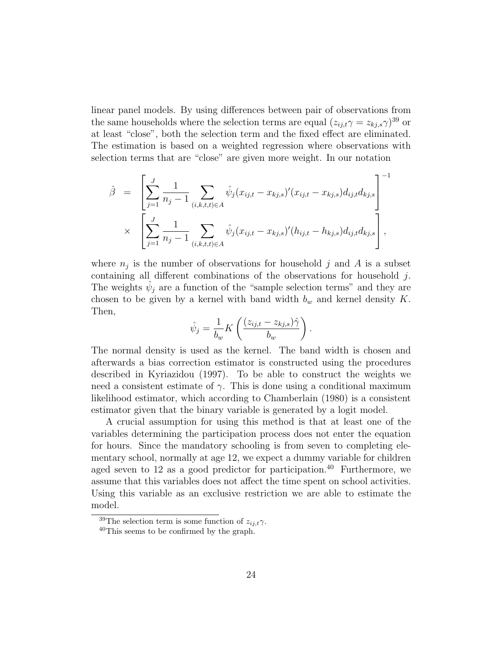linear panel models. By using differences between pair of observations from the same households where the selection terms are equal  $(z_{ij,t}\gamma = z_{kj,s}\gamma)^{39}$  or at least "close", both the selection term and the fixed effect are eliminated. The estimation is based on a weighted regression where observations with selection terms that are "close" are given more weight. In our notation

$$
\hat{\beta} = \left[ \sum_{j=1}^{J} \frac{1}{n_j - 1} \sum_{(i,k,t,t) \in A} \hat{\psi}_j (x_{ij,t} - x_{kj,s})' (x_{ij,t} - x_{kj,s}) d_{ij,t} d_{kj,s} \right]^{-1}
$$
  
 
$$
\times \left[ \sum_{j=1}^{J} \frac{1}{n_j - 1} \sum_{(i,k,t,t) \in A} \hat{\psi}_j (x_{ij,t} - x_{kj,s})' (h_{ij,t} - h_{kj,s}) d_{ij,t} d_{kj,s} \right],
$$

where  $n_j$  is the number of observations for household j and A is a subset containing all different combinations of the observations for household j. The weights  $\hat{\psi}_j$  are a function of the "sample selection terms" and they are chosen to be given by a kernel with band width  $b_w$  and kernel density K. Then,

$$
\hat{\psi}_j = \frac{1}{b_w} K\left(\frac{(z_{ij,t} - z_{kj,s})\hat{\gamma}}{b_w}\right).
$$

The normal density is used as the kernel. The band width is chosen and afterwards a bias correction estimator is constructed using the procedures described in Kyriazidou (1997). To be able to construct the weights we need a consistent estimate of  $\gamma$ . This is done using a conditional maximum likelihood estimator, which according to Chamberlain (1980) is a consistent estimator given that the binary variable is generated by a logit model.

A crucial assumption for using this method is that at least one of the variables determining the participation process does not enter the equation for hours. Since the mandatory schooling is from seven to completing elementary school, normally at age 12, we expect a dummy variable for children aged seven to 12 as a good predictor for participation.<sup>40</sup> Furthermore, we assume that this variables does not affect the time spent on school activities. Using this variable as an exclusive restriction we are able to estimate the model.

 $\sqrt[39]{\text{The selection term}}$  is some function of  $z_{ij,t}\gamma$ .

<sup>40</sup>This seems to be confirmed by the graph.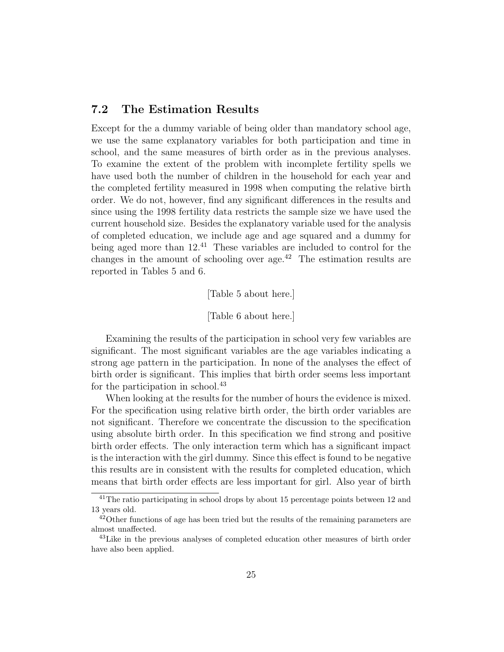### 7.2 The Estimation Results

Except for the a dummy variable of being older than mandatory school age, we use the same explanatory variables for both participation and time in school, and the same measures of birth order as in the previous analyses. To examine the extent of the problem with incomplete fertility spells we have used both the number of children in the household for each year and the completed fertility measured in 1998 when computing the relative birth order. We do not, however, find any significant differences in the results and since using the 1998 fertility data restricts the sample size we have used the current household size. Besides the explanatory variable used for the analysis of completed education, we include age and age squared and a dummy for being aged more than  $12^{41}$  These variables are included to control for the changes in the amount of schooling over age.<sup>42</sup> The estimation results are reported in Tables 5 and 6.

[Table 5 about here.]

[Table 6 about here.]

Examining the results of the participation in school very few variables are significant. The most significant variables are the age variables indicating a strong age pattern in the participation. In none of the analyses the effect of birth order is significant. This implies that birth order seems less important for the participation in school.<sup>43</sup>

When looking at the results for the number of hours the evidence is mixed. For the specification using relative birth order, the birth order variables are not significant. Therefore we concentrate the discussion to the specification using absolute birth order. In this specification we find strong and positive birth order effects. The only interaction term which has a significant impact is the interaction with the girl dummy. Since this effect is found to be negative this results are in consistent with the results for completed education, which means that birth order effects are less important for girl. Also year of birth

 $41$ The ratio participating in school drops by about 15 percentage points between 12 and 13 years old.

 $42$ Other functions of age has been tried but the results of the remaining parameters are almost unaffected.

<sup>43</sup>Like in the previous analyses of completed education other measures of birth order have also been applied.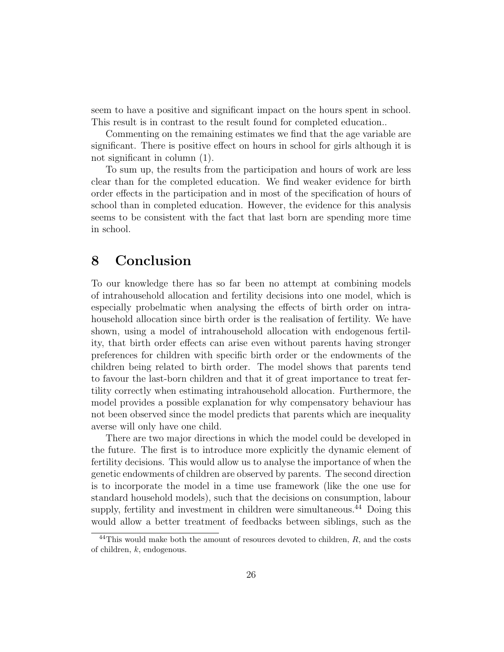seem to have a positive and significant impact on the hours spent in school. This result is in contrast to the result found for completed education..

Commenting on the remaining estimates we find that the age variable are significant. There is positive effect on hours in school for girls although it is not significant in column (1).

To sum up, the results from the participation and hours of work are less clear than for the completed education. We find weaker evidence for birth order effects in the participation and in most of the specification of hours of school than in completed education. However, the evidence for this analysis seems to be consistent with the fact that last born are spending more time in school.

# 8 Conclusion

To our knowledge there has so far been no attempt at combining models of intrahousehold allocation and fertility decisions into one model, which is especially probelmatic when analysing the effects of birth order on intrahousehold allocation since birth order is the realisation of fertility. We have shown, using a model of intrahousehold allocation with endogenous fertility, that birth order effects can arise even without parents having stronger preferences for children with specific birth order or the endowments of the children being related to birth order. The model shows that parents tend to favour the last-born children and that it of great importance to treat fertility correctly when estimating intrahousehold allocation. Furthermore, the model provides a possible explanation for why compensatory behaviour has not been observed since the model predicts that parents which are inequality averse will only have one child.

There are two major directions in which the model could be developed in the future. The first is to introduce more explicitly the dynamic element of fertility decisions. This would allow us to analyse the importance of when the genetic endowments of children are observed by parents. The second direction is to incorporate the model in a time use framework (like the one use for standard household models), such that the decisions on consumption, labour supply, fertility and investment in children were simultaneous.<sup>44</sup> Doing this would allow a better treatment of feedbacks between siblings, such as the

 $^{44}$ This would make both the amount of resources devoted to children,  $R$ , and the costs of children, k, endogenous.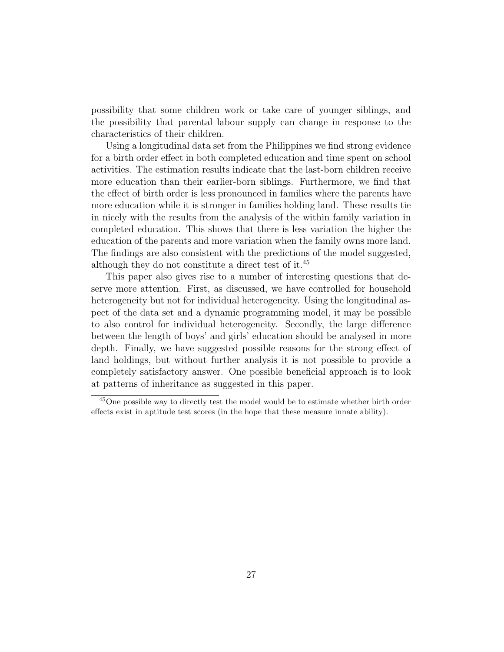possibility that some children work or take care of younger siblings, and the possibility that parental labour supply can change in response to the characteristics of their children.

Using a longitudinal data set from the Philippines we find strong evidence for a birth order effect in both completed education and time spent on school activities. The estimation results indicate that the last-born children receive more education than their earlier-born siblings. Furthermore, we find that the effect of birth order is less pronounced in families where the parents have more education while it is stronger in families holding land. These results tie in nicely with the results from the analysis of the within family variation in completed education. This shows that there is less variation the higher the education of the parents and more variation when the family owns more land. The findings are also consistent with the predictions of the model suggested, although they do not constitute a direct test of it.<sup>45</sup>

This paper also gives rise to a number of interesting questions that deserve more attention. First, as discussed, we have controlled for household heterogeneity but not for individual heterogeneity. Using the longitudinal aspect of the data set and a dynamic programming model, it may be possible to also control for individual heterogeneity. Secondly, the large difference between the length of boys' and girls' education should be analysed in more depth. Finally, we have suggested possible reasons for the strong effect of land holdings, but without further analysis it is not possible to provide a completely satisfactory answer. One possible beneficial approach is to look at patterns of inheritance as suggested in this paper.

<sup>45</sup>One possible way to directly test the model would be to estimate whether birth order effects exist in aptitude test scores (in the hope that these measure innate ability).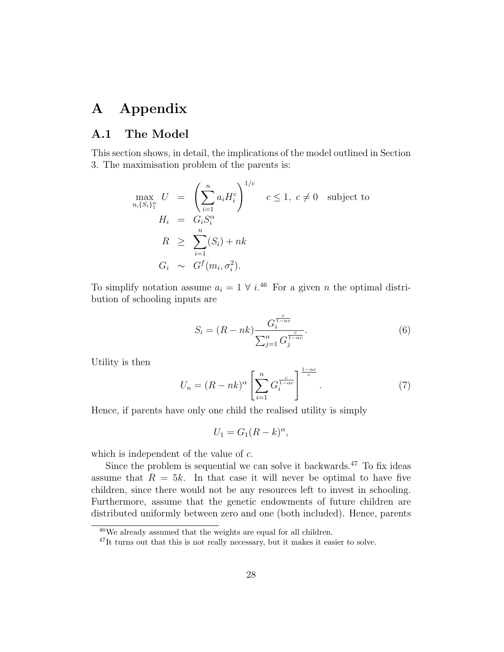# A Appendix

### A.1 The Model

This section shows, in detail, the implications of the model outlined in Section 3. The maximisation problem of the parents is:

$$
\max_{n, \{S_i\}_1^n} U = \left(\sum_{i=1}^n a_i H_i^c\right)^{1/c} \quad c \le 1, \ c \ne 0 \quad \text{subject to}
$$
\n
$$
H_i = G_i S_i^{\alpha}
$$
\n
$$
R \ge \sum_{i=1}^n (S_i) + nk
$$
\n
$$
G_i \sim G^f(m_i, \sigma_i^2).
$$

To simplify notation assume  $a_i = 1 \forall i$ .<sup>46</sup> For a given n the optimal distribution of schooling inputs are

$$
S_i = (R - nk) \frac{G_i^{\frac{c}{1 - \alpha c}}}{\sum_{j=1}^n G_j^{\frac{c}{1 - \alpha c}}}.
$$
\n
$$
(6)
$$

Utility is then

$$
U_n = (R - nk)^{\alpha} \left[ \sum_{i=1}^n G_i^{\frac{c}{1 - \alpha c}} \right]^{\frac{1 - \alpha c}{c}}.
$$
 (7)

Hence, if parents have only one child the realised utility is simply

$$
U_1 = G_1(R - k)^{\alpha},
$$

which is independent of the value of c.

Since the problem is sequential we can solve it backwards.<sup>47</sup> To fix ideas assume that  $R = 5k$ . In that case it will never be optimal to have five children, since there would not be any resources left to invest in schooling. Furthermore, assume that the genetic endowments of future children are distributed uniformly between zero and one (both included). Hence, parents

<sup>&</sup>lt;sup>46</sup>We already assumed that the weights are equal for all children.

 $47$ It turns out that this is not really necessary, but it makes it easier to solve.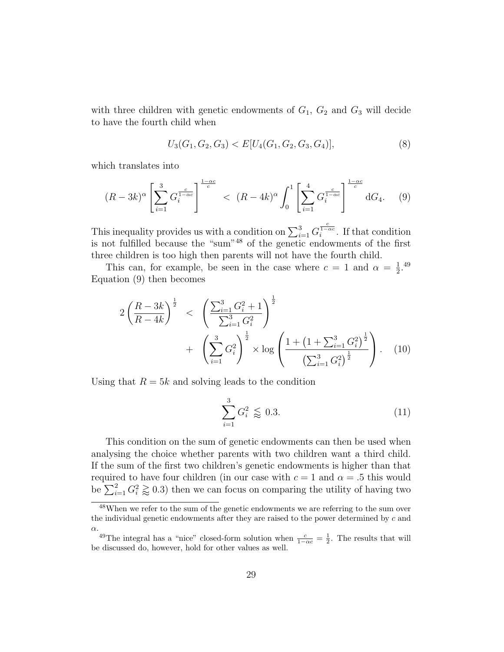with three children with genetic endowments of  $G_1$ ,  $G_2$  and  $G_3$  will decide to have the fourth child when

$$
U_3(G_1, G_2, G_3) < E[U_4(G_1, G_2, G_3, G_4)],\tag{8}
$$

which translates into

$$
(R - 3k)^{\alpha} \left[ \sum_{i=1}^{3} G_i^{\frac{c}{1 - \alpha c}} \right]^{\frac{1 - \alpha c}{c}} < (R - 4k)^{\alpha} \int_0^1 \left[ \sum_{i=1}^4 G_i^{\frac{c}{1 - \alpha c}} \right]^{\frac{1 - \alpha c}{c}} dG_4. \tag{9}
$$

This inequality provides us with a condition on  $\sum_{i=1}^{3} G_i^{\frac{c}{1-\alpha c}}$ . If that condition is not fulfilled because the "sum"<sup>48</sup> of the genetic endowments of the first three children is too high then parents will not have the fourth child.

This can, for example, be seen in the case where  $c = 1$  and  $\alpha = \frac{1}{2}$  $\frac{1}{2}$ .<sup>49</sup> Equation (9) then becomes

$$
2\left(\frac{R-3k}{R-4k}\right)^{\frac{1}{2}} < \left(\frac{\sum_{i=1}^{3} G_i^2 + 1}{\sum_{i=1}^{3} G_i^2}\right)^{\frac{1}{2}} + \left(\sum_{i=1}^{3} G_i^2\right)^{\frac{1}{2}} \times \log \left(\frac{1 + \left(1 + \sum_{i=1}^{3} G_i^2\right)^{\frac{1}{2}}}{\left(\sum_{i=1}^{3} G_i^2\right)^{\frac{1}{2}}}\right).
$$
 (10)

Using that  $R = 5k$  and solving leads to the condition

$$
\sum_{i=1}^{3} G_i^2 \lessapprox 0.3.
$$
 (11)

This condition on the sum of genetic endowments can then be used when analysing the choice whether parents with two children want a third child. If the sum of the first two children's genetic endowments is higher than that required to have four children (in our case with  $c = 1$  and  $\alpha = .5$  this would be  $\sum_{i=1}^{2} G_i^2 \gtrapprox 0.3$ ) then we can focus on comparing the utility of having two

<sup>48</sup>When we refer to the sum of the genetic endowments we are referring to the sum over the individual genetic endowments after they are raised to the power determined by c and α.

<sup>&</sup>lt;sup>49</sup>The integral has a "nice" closed-form solution when  $\frac{c}{1-\alpha c} = \frac{1}{2}$ . The results that will be discussed do, however, hold for other values as well.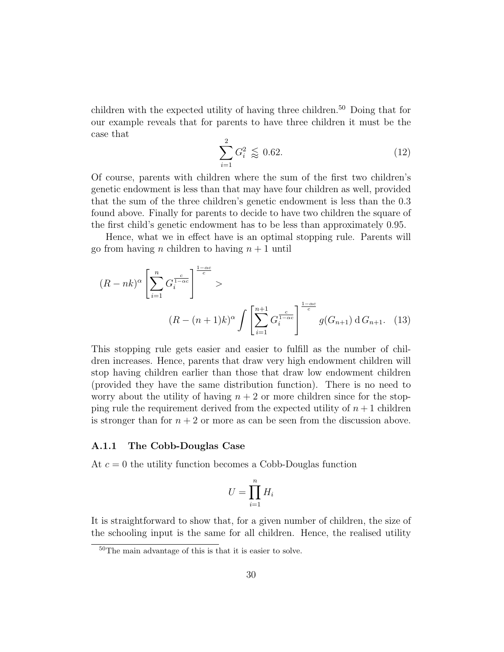children with the expected utility of having three children.<sup>50</sup> Doing that for our example reveals that for parents to have three children it must be the case that

$$
\sum_{i=1}^{2} G_i^2 \lessapprox 0.62. \tag{12}
$$

Of course, parents with children where the sum of the first two children's genetic endowment is less than that may have four children as well, provided that the sum of the three children's genetic endowment is less than the 0.3 found above. Finally for parents to decide to have two children the square of the first child's genetic endowment has to be less than approximately 0.95.

Hence, what we in effect have is an optimal stopping rule. Parents will go from having *n* children to having  $n + 1$  until

$$
(R-nk)^{\alpha} \left[ \sum_{i=1}^{n} G_i^{\frac{c}{1-\alpha c}} \right]^{\frac{1-\alpha c}{c}} >
$$
  

$$
(R-(n+1)k)^{\alpha} \int \left[ \sum_{i=1}^{n+1} G_i^{\frac{c}{1-\alpha c}} \right]^{\frac{1-\alpha c}{c}} g(G_{n+1}) dG_{n+1}.
$$
 (13)

This stopping rule gets easier and easier to fulfill as the number of children increases. Hence, parents that draw very high endowment children will stop having children earlier than those that draw low endowment children (provided they have the same distribution function). There is no need to worry about the utility of having  $n + 2$  or more children since for the stopping rule the requirement derived from the expected utility of  $n + 1$  children is stronger than for  $n + 2$  or more as can be seen from the discussion above.

#### A.1.1 The Cobb-Douglas Case

At  $c = 0$  the utility function becomes a Cobb-Douglas function

$$
U = \prod_{i=1}^{n} H_i
$$

It is straightforward to show that, for a given number of children, the size of the schooling input is the same for all children. Hence, the realised utility

<sup>50</sup>The main advantage of this is that it is easier to solve.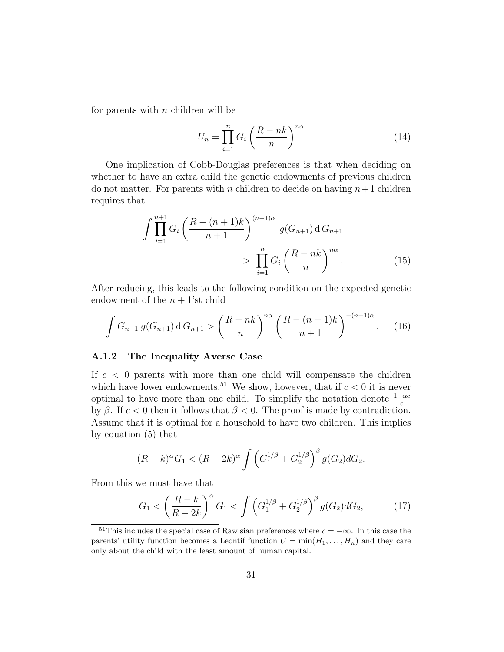for parents with  $n$  children will be

$$
U_n = \prod_{i=1}^n G_i \left(\frac{R - nk}{n}\right)^{n\alpha} \tag{14}
$$

One implication of Cobb-Douglas preferences is that when deciding on whether to have an extra child the genetic endowments of previous children do not matter. For parents with n children to decide on having  $n+1$  children requires that

$$
\int \prod_{i=1}^{n+1} G_i \left( \frac{R - (n+1)k}{n+1} \right)^{(n+1)\alpha} g(G_{n+1}) dG_{n+1}
$$
\n
$$
> \prod_{i=1}^n G_i \left( \frac{R - nk}{n} \right)^{n\alpha} . \tag{15}
$$

After reducing, this leads to the following condition on the expected genetic endowment of the  $n + 1$ 'st child

$$
\int G_{n+1} g(G_{n+1}) dG_{n+1} > \left(\frac{R-nk}{n}\right)^{n\alpha} \left(\frac{R-(n+1)k}{n+1}\right)^{-(n+1)\alpha}.
$$
 (16)

#### A.1.2 The Inequality Averse Case

If  $c < 0$  parents with more than one child will compensate the children which have lower endowments.<sup>51</sup> We show, however, that if  $c < 0$  it is never optimal to have more than one child. To simplify the notation denote  $\frac{1-\alpha c}{c}$ by β. If  $c < 0$  then it follows that  $β < 0$ . The proof is made by contradiction. Assume that it is optimal for a household to have two children. This implies by equation (5) that

$$
(R-k)^{\alpha}G_1 < (R-2k)^{\alpha} \int \left(G_1^{1/\beta} + G_2^{1/\beta}\right)^{\beta} g(G_2)dG_2.
$$

From this we must have that

$$
G_1 < \left(\frac{R-k}{R-2k}\right)^{\alpha} G_1 < \int \left(G_1^{1/\beta} + G_2^{1/\beta}\right)^{\beta} g(G_2) dG_2,\tag{17}
$$

<sup>&</sup>lt;sup>51</sup>This includes the special case of Rawlsian preferences where  $c = -\infty$ . In this case the parents' utility function becomes a Leontif function  $U = \min(H_1, \ldots, H_n)$  and they care only about the child with the least amount of human capital.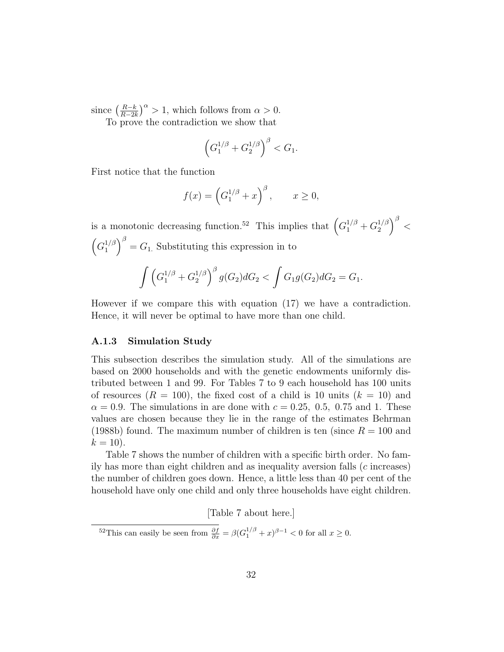since  $\left(\frac{R-k}{R-2l}\right)$  $\frac{R-k}{R-2k}$ <sup> $\alpha$ </sup> > 1, which follows from  $\alpha$  > 0. To prove the contradiction we show that

> $\left(G_1^{1/\beta}+G_2^{1/\beta}\right)$  $\binom{1/\beta}{2}^{\beta} < G_1.$

First notice that the function

$$
f(x) = \left(G_1^{1/\beta} + x\right)^{\beta}, \qquad x \ge 0,
$$

is a monotonic decreasing function.<sup>52</sup> This implies that  $\left(G_1^{1/\beta} + G_2^{1/\beta}\right)$  $\binom{1/\beta}{2}$  /  $\beta$  /  $\left(G_1^{1/\beta}\right)$  $\binom{1}{1}^{\beta}$  =  $G_1$ . Substituting this expression in to  $\int (G_1^{1/\beta} + G_2^{1/\beta}$  $\int_{2}^{1/\beta}\Big)^{\beta}g(G_{2})dG_{2}<\int G_{1}g(G_{2})dG_{2}=G_{1}.$ 

However if we compare this with equation (17) we have a contradiction. Hence, it will never be optimal to have more than one child.

#### A.1.3 Simulation Study

This subsection describes the simulation study. All of the simulations are based on 2000 households and with the genetic endowments uniformly distributed between 1 and 99. For Tables 7 to 9 each household has 100 units of resources  $(R = 100)$ , the fixed cost of a child is 10 units  $(k = 10)$  and  $\alpha = 0.9$ . The simulations in are done with  $c = 0.25, 0.5, 0.75$  and 1. These values are chosen because they lie in the range of the estimates Behrman (1988b) found. The maximum number of children is ten (since  $R = 100$  and  $k = 10$ ).

Table 7 shows the number of children with a specific birth order. No family has more than eight children and as inequality aversion falls (c increases) the number of children goes down. Hence, a little less than 40 per cent of the household have only one child and only three households have eight children.

[Table 7 about here.]

<sup>&</sup>lt;sup>52</sup>This can easily be seen from  $\frac{\partial f}{\partial x} = \beta (G_1^{1/\beta} + x)^{\beta - 1} < 0$  for all  $x \ge 0$ .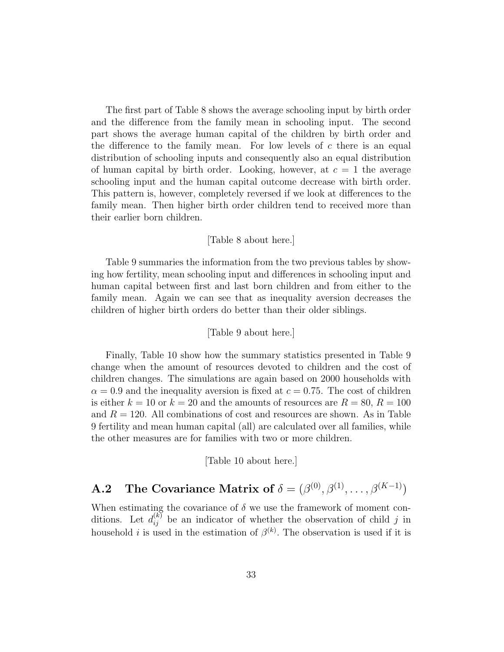The first part of Table 8 shows the average schooling input by birth order and the difference from the family mean in schooling input. The second part shows the average human capital of the children by birth order and the difference to the family mean. For low levels of  $c$  there is an equal distribution of schooling inputs and consequently also an equal distribution of human capital by birth order. Looking, however, at  $c = 1$  the average schooling input and the human capital outcome decrease with birth order. This pattern is, however, completely reversed if we look at differences to the family mean. Then higher birth order children tend to received more than their earlier born children.

#### [Table 8 about here.]

Table 9 summaries the information from the two previous tables by showing how fertility, mean schooling input and differences in schooling input and human capital between first and last born children and from either to the family mean. Again we can see that as inequality aversion decreases the children of higher birth orders do better than their older siblings.

#### [Table 9 about here.]

Finally, Table 10 show how the summary statistics presented in Table 9 change when the amount of resources devoted to children and the cost of children changes. The simulations are again based on 2000 households with  $\alpha = 0.9$  and the inequality aversion is fixed at  $c = 0.75$ . The cost of children is either  $k = 10$  or  $k = 20$  and the amounts of resources are  $R = 80, R = 100$ and  $R = 120$ . All combinations of cost and resources are shown. As in Table 9 fertility and mean human capital (all) are calculated over all families, while the other measures are for families with two or more children.

[Table 10 about here.]

# **A.2** The Covariance Matrix of  $\delta = (\beta^{(0)}, \beta^{(1)}, \dots, \beta^{(K-1)})$

When estimating the covariance of  $\delta$  we use the framework of moment conditions. Let  $d_{ij}^{(k)}$  be an indicator of whether the observation of child j in household *i* is used in the estimation of  $\beta^{(k)}$ . The observation is used if it is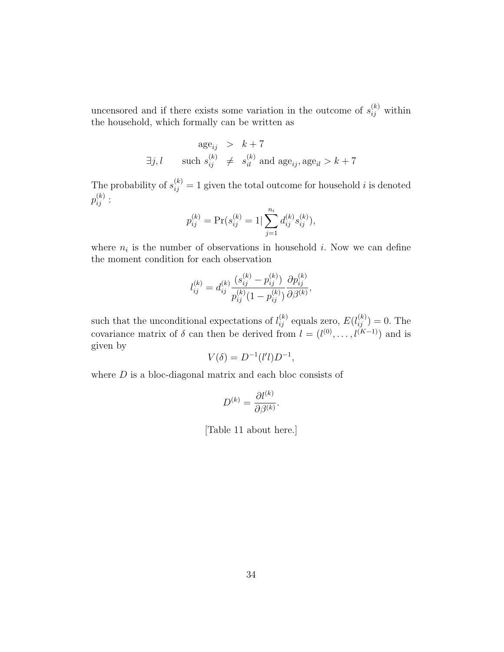uncensored and if there exists some variation in the outcome of  $s_{ij}^{(k)}$  within the household, which formally can be written as

$$
\begin{array}{rcl} \text{age}_{ij} & > & k+7\\ \exists j,l \qquad \text{such } s_{ij}^{(k)} ~\neq & s_{il}^{(k)} \text{ and } \text{age}_{ij}, \text{age}_{il} > k+7 \end{array}
$$

The probability of  $s_{ij}^{(k)} = 1$  given the total outcome for household i is denoted  $p_{ij}^{(k)}:$ 

$$
p_{ij}^{(k)} = \Pr(s_{ij}^{(k)} = 1 | \sum_{j=1}^{n_i} d_{ij}^{(k)} s_{ij}^{(k)}),
$$

where  $n_i$  is the number of observations in household i. Now we can define the moment condition for each observation

$$
l_{ij}^{(k)} = d_{ij}^{(k)} \frac{(s_{ij}^{(k)} - p_{ij}^{(k)})}{p_{ij}^{(k)}(1 - p_{ij}^{(k)})} \frac{\partial p_{ij}^{(k)}}{\partial \beta^{(k)}},
$$

such that the unconditional expectations of  $l_{ij}^{(k)}$  equals zero,  $E(l_{ij}^{(k)}) = 0$ . The covariance matrix of  $\delta$  can then be derived from  $l = (l^{(0)}, \ldots, l^{(K-1)})$  and is given by

$$
V(\delta) = D^{-1}(l'l)D^{-1},
$$

where  $D$  is a bloc-diagonal matrix and each bloc consists of

$$
D^{(k)} = \frac{\partial l^{(k)}}{\partial \beta^{(k)}}.
$$

[Table 11 about here.]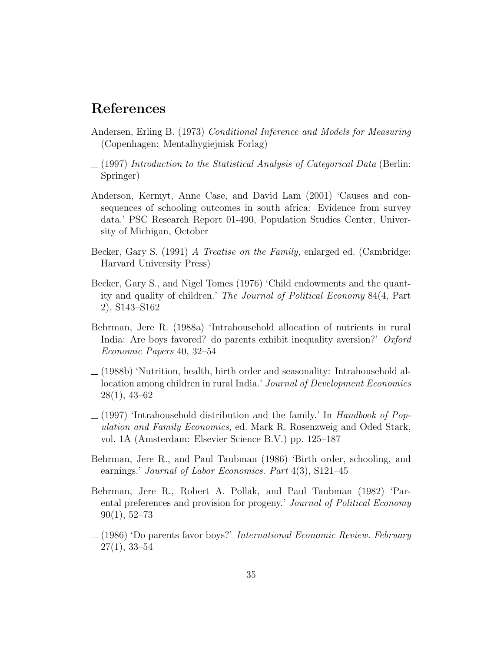### References

- Andersen, Erling B. (1973) Conditional Inference and Models for Measuring (Copenhagen: Mentalhygiejnisk Forlag)
- $(1997)$  Introduction to the Statistical Analysis of Categorical Data (Berlin: Springer)
- Anderson, Kermyt, Anne Case, and David Lam (2001) 'Causes and consequences of schooling outcomes in south africa: Evidence from survey data.' PSC Research Report 01-490, Population Studies Center, University of Michigan, October
- Becker, Gary S. (1991) A Treatise on the Family, enlarged ed. (Cambridge: Harvard University Press)
- Becker, Gary S., and Nigel Tomes (1976) 'Child endowments and the quantity and quality of children.' The Journal of Political Economy 84(4, Part 2), S143–S162
- Behrman, Jere R. (1988a) 'Intrahousehold allocation of nutrients in rural India: Are boys favored? do parents exhibit inequality aversion?' Oxford Economic Papers 40, 32–54
- $(1988b)$  'Nutrition, health, birth order and seasonality: Intrahousehold allocation among children in rural India.' Journal of Development Economics 28(1), 43–62
- $(1997)$  'Intrahousehold distribution and the family.' In Handbook of Population and Family Economics, ed. Mark R. Rosenzweig and Oded Stark, vol. 1A (Amsterdam: Elsevier Science B.V.) pp. 125–187
- Behrman, Jere R., and Paul Taubman (1986) 'Birth order, schooling, and earnings.' Journal of Labor Economics. Part 4(3), S121–45
- Behrman, Jere R., Robert A. Pollak, and Paul Taubman (1982) 'Parental preferences and provision for progeny.' Journal of Political Economy  $90(1), 52-73$
- $(1986)$  'Do parents favor boys?' International Economic Review. February  $27(1), 33-54$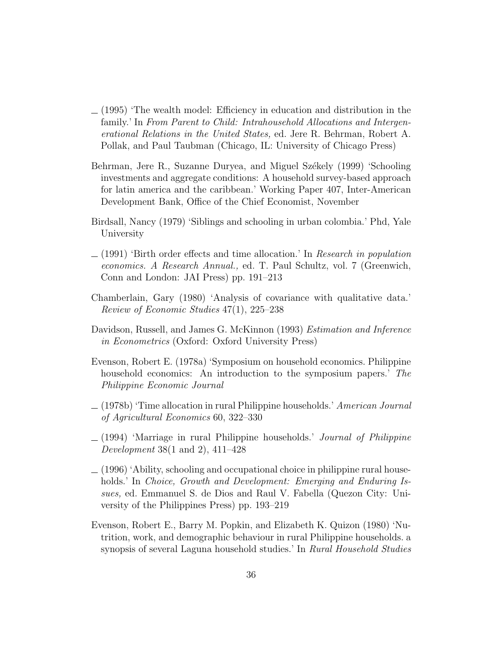- $(1995)$  The wealth model: Efficiency in education and distribution in the family.' In From Parent to Child: Intrahousehold Allocations and Intergenerational Relations in the United States, ed. Jere R. Behrman, Robert A. Pollak, and Paul Taubman (Chicago, IL: University of Chicago Press)
- Behrman, Jere R., Suzanne Duryea, and Miguel Székely (1999) 'Schooling investments and aggregate conditions: A household survey-based approach for latin america and the caribbean.' Working Paper 407, Inter-American Development Bank, Office of the Chief Economist, November
- Birdsall, Nancy (1979) 'Siblings and schooling in urban colombia.' Phd, Yale University
- $(1991)$  'Birth order effects and time allocation.' In Research in population economics. A Research Annual., ed. T. Paul Schultz, vol. 7 (Greenwich, Conn and London: JAI Press) pp. 191–213
- Chamberlain, Gary (1980) 'Analysis of covariance with qualitative data.' Review of Economic Studies 47(1), 225–238
- Davidson, Russell, and James G. McKinnon (1993) Estimation and Inference in Econometrics (Oxford: Oxford University Press)
- Evenson, Robert E. (1978a) 'Symposium on household economics. Philippine household economics: An introduction to the symposium papers.' The Philippine Economic Journal
- $(1978b)$  'Time allocation in rural Philippine households.' American Journal of Agricultural Economics 60, 322–330
- $(1994)$  'Marriage in rural Philippine households.' Journal of Philippine Development 38(1 and 2), 411–428
- $(1996)$  'Ability, schooling and occupational choice in philippine rural households.' In *Choice, Growth and Development: Emerging and Enduring Is*sues, ed. Emmanuel S. de Dios and Raul V. Fabella (Quezon City: University of the Philippines Press) pp. 193–219
- Evenson, Robert E., Barry M. Popkin, and Elizabeth K. Quizon (1980) 'Nutrition, work, and demographic behaviour in rural Philippine households. a synopsis of several Laguna household studies.' In Rural Household Studies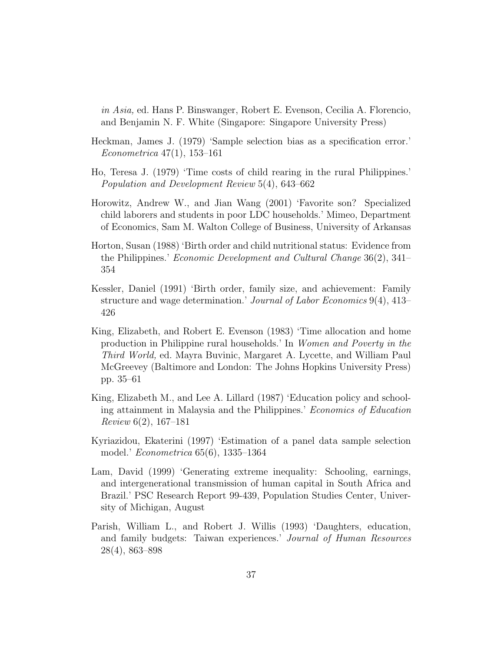in Asia, ed. Hans P. Binswanger, Robert E. Evenson, Cecilia A. Florencio, and Benjamin N. F. White (Singapore: Singapore University Press)

- Heckman, James J. (1979) 'Sample selection bias as a specification error.' Econometrica 47(1), 153–161
- Ho, Teresa J. (1979) 'Time costs of child rearing in the rural Philippines.' Population and Development Review 5(4), 643–662
- Horowitz, Andrew W., and Jian Wang (2001) 'Favorite son? Specialized child laborers and students in poor LDC households.' Mimeo, Department of Economics, Sam M. Walton College of Business, University of Arkansas
- Horton, Susan (1988) 'Birth order and child nutritional status: Evidence from the Philippines.' Economic Development and Cultural Change 36(2), 341– 354
- Kessler, Daniel (1991) 'Birth order, family size, and achievement: Family structure and wage determination.' Journal of Labor Economics 9(4), 413– 426
- King, Elizabeth, and Robert E. Evenson (1983) 'Time allocation and home production in Philippine rural households.' In Women and Poverty in the Third World, ed. Mayra Buvinic, Margaret A. Lycette, and William Paul McGreevey (Baltimore and London: The Johns Hopkins University Press) pp. 35–61
- King, Elizabeth M., and Lee A. Lillard (1987) 'Education policy and schooling attainment in Malaysia and the Philippines.' Economics of Education Review 6(2), 167–181
- Kyriazidou, Ekaterini (1997) 'Estimation of a panel data sample selection model.' Econometrica 65(6), 1335–1364
- Lam, David (1999) 'Generating extreme inequality: Schooling, earnings, and intergenerational transmission of human capital in South Africa and Brazil.' PSC Research Report 99-439, Population Studies Center, University of Michigan, August
- Parish, William L., and Robert J. Willis (1993) 'Daughters, education, and family budgets: Taiwan experiences.' Journal of Human Resources 28(4), 863–898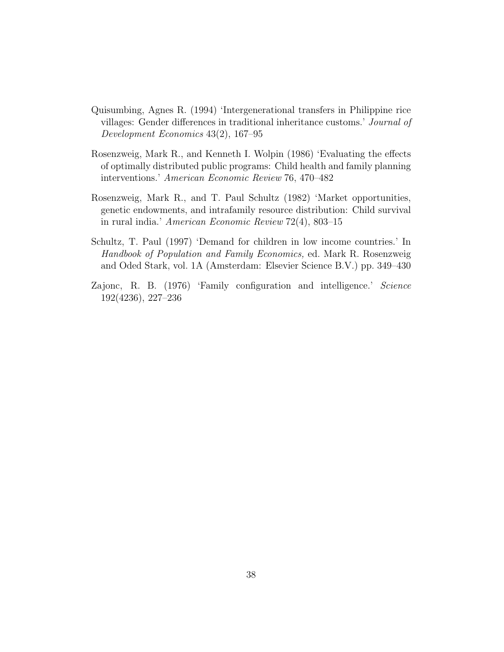- Quisumbing, Agnes R. (1994) 'Intergenerational transfers in Philippine rice villages: Gender differences in traditional inheritance customs.' Journal of Development Economics 43(2), 167–95
- Rosenzweig, Mark R., and Kenneth I. Wolpin (1986) 'Evaluating the effects of optimally distributed public programs: Child health and family planning interventions.' American Economic Review 76, 470–482
- Rosenzweig, Mark R., and T. Paul Schultz (1982) 'Market opportunities, genetic endowments, and intrafamily resource distribution: Child survival in rural india.' American Economic Review 72(4), 803–15
- Schultz, T. Paul (1997) 'Demand for children in low income countries.' In Handbook of Population and Family Economics, ed. Mark R. Rosenzweig and Oded Stark, vol. 1A (Amsterdam: Elsevier Science B.V.) pp. 349–430
- Zajonc, R. B. (1976) 'Family configuration and intelligence.' Science 192(4236), 227–236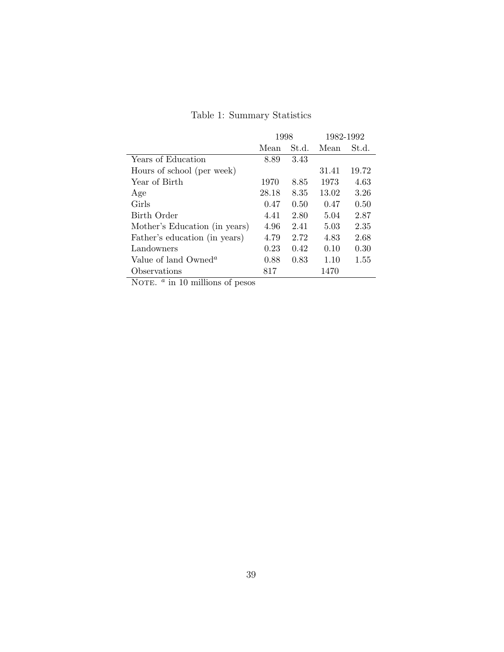# Table 1: Summary Statistics

|                                  | 1998  |       | 1982-1992 |       |  |
|----------------------------------|-------|-------|-----------|-------|--|
|                                  | Mean  | St.d. | Mean      | St.d. |  |
| Years of Education               | 8.89  | 3.43  |           |       |  |
| Hours of school (per week)       |       |       | 31.41     | 19.72 |  |
| Year of Birth                    | 1970  | 8.85  | 1973      | 4.63  |  |
| Age                              | 28.18 | 8.35  | 13.02     | 3.26  |  |
| Girls                            | 0.47  | 0.50  | 0.47      | 0.50  |  |
| Birth Order                      | 4.41  | 2.80  | 5.04      | 2.87  |  |
| Mother's Education (in years)    | 4.96  | 2.41  | 5.03      | 2.35  |  |
| Father's education (in years)    | 4.79  | 2.72  | 4.83      | 2.68  |  |
| Landowners                       | 0.23  | 0.42  | 0.10      | 0.30  |  |
| Value of land Owned <sup>a</sup> | 0.88  | 0.83  | 1.10      | 1.55  |  |
| Observations<br>$\sim$           | 817   |       | 1470      |       |  |

NOTE.  $\alpha$  in 10 millions of pesos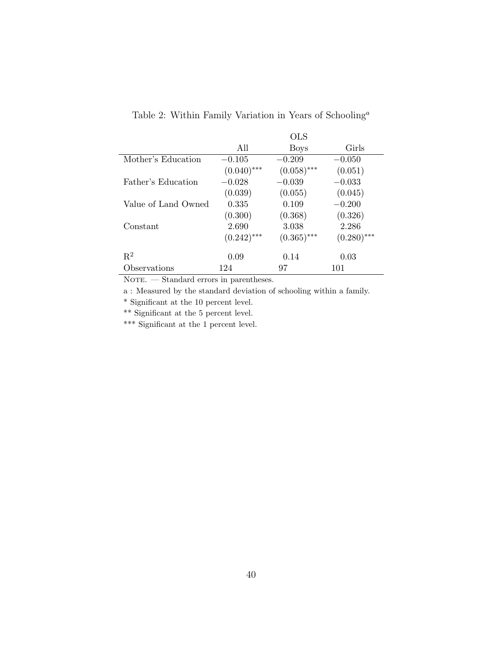|                     |               | <b>OLS</b>    |               |
|---------------------|---------------|---------------|---------------|
|                     | All           | <b>Boys</b>   | Girls         |
| Mother's Education  | $-0.105$      | $-0.209$      | $-0.050$      |
|                     | $(0.040)$ *** | $(0.058)$ *** | (0.051)       |
| Father's Education  | $-0.028$      | $-0.039$      | $-0.033$      |
|                     | (0.039)       | (0.055)       | (0.045)       |
| Value of Land Owned | 0.335         | 0.109         | $-0.200$      |
|                     | (0.300)       | (0.368)       | (0.326)       |
| Constant            | 2.690         | 3.038         | 2.286         |
|                     | $(0.242)$ *** | $(0.365)$ *** | $(0.280)$ *** |
| $\mathbf{R}^2$      | 0.09          | 0.14          | 0.03          |
| Observations        | 124           | 97            | 101           |

Table 2: Within Family Variation in Years of Schooling<sup>a</sup>

 ${\tt NOTE.}$  — Standard errors in parentheses.

a : Measured by the standard deviation of schooling within a family.

 $^\ast$  Significant at the 10 percent level.

\*\* Significant at the 5 percent level.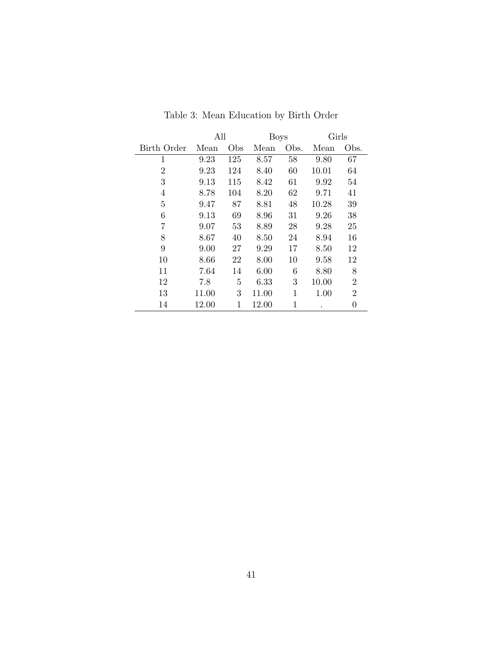|                | All   |     | <b>Boys</b> |      | Girls |                |
|----------------|-------|-----|-------------|------|-------|----------------|
| Birth Order    | Mean  | Obs | Mean        | Obs. | Mean  | Obs.           |
| 1              | 9.23  | 125 | 8.57        | 58   | 9.80  | 67             |
| $\overline{2}$ | 9.23  | 124 | 8.40        | 60   | 10.01 | 64             |
| 3              | 9.13  | 115 | 8.42        | 61   | 9.92  | 54             |
| 4              | 8.78  | 104 | 8.20        | 62   | 9.71  | 41             |
| 5              | 9.47  | 87  | 8.81        | 48   | 10.28 | 39             |
| 6              | 9.13  | 69  | 8.96        | 31   | 9.26  | 38             |
| 7              | 9.07  | 53  | 8.89        | 28   | 9.28  | 25             |
| 8              | 8.67  | 40  | 8.50        | 24   | 8.94  | 16             |
| 9              | 9.00  | 27  | 9.29        | 17   | 8.50  | 12             |
| 10             | 8.66  | 22  | 8.00        | 10   | 9.58  | 12             |
| 11             | 7.64  | 14  | 6.00        | 6    | 8.80  | 8              |
| 12             | 7.8   | 5   | 6.33        | 3    | 10.00 | $\overline{2}$ |
| 13             | 11.00 | 3   | 11.00       | 1    | 1.00  | $\overline{2}$ |
| 14             | 12.00 | 1   | 12.00       | 1    |       | 0              |

Table 3: Mean Education by Birth Order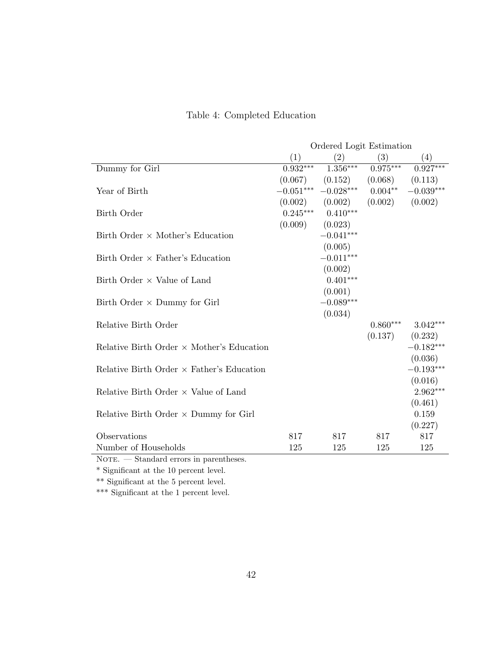|  | Table 4: Completed Education |  |
|--|------------------------------|--|
|--|------------------------------|--|

|                                                               |                     | Ordered Logit Estimation                |            |             |
|---------------------------------------------------------------|---------------------|-----------------------------------------|------------|-------------|
|                                                               | (1)                 | (2)                                     | (3)        | (4)         |
| Dummy for Girl                                                | $0.932***$          | $1.356***$                              | $0.975***$ | $0.927***$  |
|                                                               |                     | $(0.067)$ $(0.152)$ $(0.068)$ $(0.113)$ |            |             |
| Year of Birth                                                 |                     | $-0.051***$ $-0.028***$ $0.004**$       |            | $-0.039***$ |
|                                                               |                     | $(0.002)$ $(0.002)$                     | (0.002)    | (0.002)     |
| Birth Order                                                   | $0.245***$          | $0.410***$                              |            |             |
|                                                               | $(0.009)$ $(0.023)$ |                                         |            |             |
| Birth Order $\times$ Mother's Education                       |                     | $-0.041***$                             |            |             |
|                                                               |                     | (0.005)                                 |            |             |
| Birth Order $\times$ Father's Education                       |                     | $-0.011***$                             |            |             |
|                                                               |                     | (0.002)                                 |            |             |
| Birth Order $\times$ Value of Land                            |                     | $0.401***$                              |            |             |
|                                                               |                     | (0.001)                                 |            |             |
| Birth Order $\times$ Dummy for Girl                           |                     | $-0.089***$                             |            |             |
|                                                               |                     | (0.034)                                 |            |             |
| Relative Birth Order                                          |                     |                                         | $0.860***$ | $3.042***$  |
|                                                               |                     |                                         | (0.137)    | (0.232)     |
| Relative Birth Order $\times$ Mother's Education              |                     |                                         |            | $-0.182***$ |
|                                                               |                     |                                         |            | (0.036)     |
| Relative Birth Order $\times$ Father's Education              |                     |                                         |            | $-0.193***$ |
|                                                               |                     |                                         |            | (0.016)     |
| Relative Birth Order $\times$ Value of Land                   |                     |                                         |            | $2.962***$  |
|                                                               |                     |                                         |            | (0.461)     |
| Relative Birth Order $\times$ Dummy for Girl                  |                     |                                         |            | 0.159       |
|                                                               |                     |                                         |            | (0.227)     |
| Observations                                                  | 817                 | 817                                     | 817        | 817         |
| Number of Households<br>North Standard ennance in papertheses | 125                 | 125                                     | 125        | 125         |

 ${\tt NOTE.}$  — Standard errors in parentheses.

 $^\ast$  Significant at the 10 percent level.

\*\* Significant at the 5 percent level.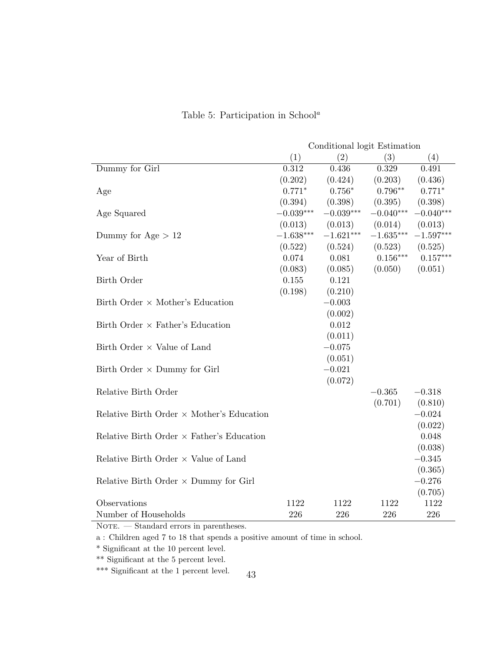|                                                  | Conditional logit Estimation |             |             |                         |  |
|--------------------------------------------------|------------------------------|-------------|-------------|-------------------------|--|
|                                                  | (1)                          | (2)         | (3)         | (4)                     |  |
| Dummy for Girl                                   | 0.312                        | 0.436       | 0.329       | 0.491                   |  |
|                                                  | (0.202)                      | (0.424)     | (0.203)     | (0.436)                 |  |
| Age                                              | $0.771*$                     | $0.756*$    | $0.796**$   | $0.771*$                |  |
|                                                  | (0.394)                      | (0.398)     | (0.395)     | (0.398)                 |  |
| Age Squared                                      | $-0.039***$                  | $-0.039***$ | $-0.040***$ | $-0.040***$             |  |
|                                                  | (0.013)                      | (0.013)     | (0.014)     | (0.013)                 |  |
| Dummy for Age $> 12$                             | $-1.638***$                  | $-1.621***$ |             | $-1.635***$ $-1.597***$ |  |
|                                                  | (0.522)                      | (0.524)     | (0.523)     | (0.525)                 |  |
| Year of Birth                                    | 0.074                        | 0.081       | $0.156***$  | $0.157***$              |  |
|                                                  | (0.083)                      | (0.085)     | (0.050)     | (0.051)                 |  |
| Birth Order                                      | 0.155                        | 0.121       |             |                         |  |
|                                                  | (0.198)                      | (0.210)     |             |                         |  |
| Birth Order $\times$ Mother's Education          |                              | $-0.003$    |             |                         |  |
|                                                  |                              | (0.002)     |             |                         |  |
| Birth Order $\times$ Father's Education          |                              | 0.012       |             |                         |  |
|                                                  |                              | (0.011)     |             |                         |  |
| Birth Order $\times$ Value of Land               |                              | $-0.075$    |             |                         |  |
|                                                  |                              | (0.051)     |             |                         |  |
| Birth Order $\times$ Dummy for Girl              |                              | $-0.021$    |             |                         |  |
|                                                  |                              | (0.072)     |             |                         |  |
| Relative Birth Order                             |                              |             | $-0.365$    | $-0.318$                |  |
|                                                  |                              |             | (0.701)     | (0.810)                 |  |
| Relative Birth Order $\times$ Mother's Education |                              |             |             | $-0.024$                |  |
|                                                  |                              |             |             | (0.022)                 |  |
| Relative Birth Order $\times$ Father's Education |                              |             |             | 0.048                   |  |
|                                                  |                              |             |             | (0.038)                 |  |
| Relative Birth Order $\times$ Value of Land      |                              |             |             | $-0.345$                |  |
|                                                  |                              |             |             | (0.365)                 |  |
| Relative Birth Order $\times$ Dummy for Girl     |                              |             |             | $-0.276$                |  |
|                                                  |                              |             |             | (0.705)                 |  |
| Observations                                     | 1122                         | 1122        | 1122        | 1122                    |  |
| Number of Households                             | 226                          | 226         | 226         | 226                     |  |

### Table 5: Participation in School<sup>a</sup>

 $\overline{\text{NOTE.}}$  — Standard errors in parentheses.

a : Children aged 7 to 18 that spends a positive amount of time in school.

 $^\ast$  Significant at the 10 percent level.

\*\* Significant at the 5 percent level.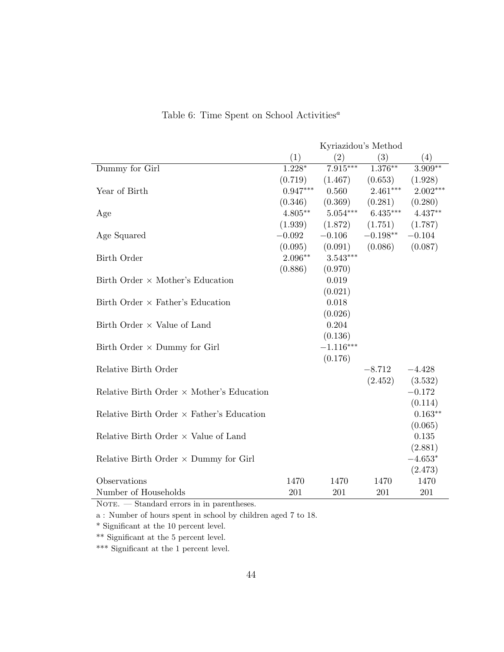|                                                  |            |             | Kyriazidou's Method |            |
|--------------------------------------------------|------------|-------------|---------------------|------------|
|                                                  | (1)        | (2)         | (3)                 | (4)        |
| Dummy for Girl                                   | $1.228*$   | $7.915***$  | $1.376**$           | $3.909***$ |
|                                                  | (0.719)    | (1.467)     | (0.653)             | (1.928)    |
| Year of Birth                                    | $0.947***$ | 0.560       | $2.461***$          | $2.002***$ |
|                                                  | (0.346)    | (0.369)     | (0.281)             | (0.280)    |
| Age                                              | $4.805**$  | $5.054***$  | $6.435***$          | $4.437**$  |
|                                                  | (1.939)    | (1.872)     | (1.751)             | (1.787)    |
| Age Squared                                      | $-0.092$   | $-0.106$    | $-0.198**$          | $-0.104$   |
|                                                  | (0.095)    | (0.091)     | (0.086)             | (0.087)    |
| Birth Order                                      | $2.096**$  | $3.543***$  |                     |            |
|                                                  | (0.886)    | (0.970)     |                     |            |
| Birth Order $\times$ Mother's Education          |            | 0.019       |                     |            |
|                                                  |            | (0.021)     |                     |            |
| Birth Order $\times$ Father's Education          |            | 0.018       |                     |            |
|                                                  |            | (0.026)     |                     |            |
| Birth Order $\times$ Value of Land               |            | 0.204       |                     |            |
|                                                  |            | (0.136)     |                     |            |
| Birth Order $\times$ Dummy for Girl              |            | $-1.116***$ |                     |            |
|                                                  |            | (0.176)     |                     |            |
| Relative Birth Order                             |            |             | $-8.712$            | $-4.428$   |
|                                                  |            |             | (2.452)             | (3.532)    |
| Relative Birth Order $\times$ Mother's Education |            |             |                     | $-0.172$   |
|                                                  |            |             |                     | (0.114)    |
| Relative Birth Order $\times$ Father's Education |            |             |                     | $0.163**$  |
|                                                  |            |             |                     | (0.065)    |
| Relative Birth Order $\times$ Value of Land      |            |             |                     | 0.135      |
|                                                  |            |             |                     | (2.881)    |
| Relative Birth Order $\times$ Dummy for Girl     |            |             |                     | $-4.653*$  |
|                                                  |            |             |                     | (2.473)    |
| Observations                                     | 1470       | 1470        | 1470                | 1470       |
| Number of Households                             | 201        | 201         | 201                 | 201        |

Table 6: Time Spent on School Activities<sup> $a$ </sup>

 $\overline{\text{NOTE.}}$  — Standard errors in in parentheses.

a : Number of hours spent in school by children aged 7 to 18.

 $^\ast$  Significant at the 10 percent level.

\*\* Significant at the 5 percent level.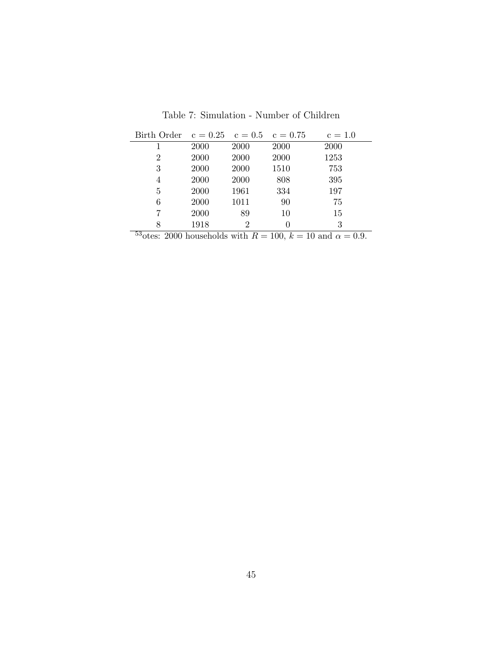Table 7: Simulation - Number of Children

| Birth Order $c = 0.25$ $c = 0.5$ $c = 0.75$ |              |      |      | $c = 1.0$ |
|---------------------------------------------|--------------|------|------|-----------|
|                                             | 2000         | 2000 | 2000 | 2000      |
| 2                                           | 2000         | 2000 | 2000 | 1253      |
| 3                                           | 2000         | 2000 | 1510 | 753       |
| 4                                           | 2000         | 2000 | 808  | 395       |
| 5                                           | 2000         | 1961 | 334  | 197       |
| 6                                           | 2000         | 1011 | 90   | 75        |
|                                             | 2000         | 89   | 10   | 15        |
| 8<br>రా                                     | 1918<br>$ -$ | 2    | 0    | 3         |

<sup>53</sup>otes: 2000 households with  $R = 100$ ,  $k = 10$  and  $\alpha = 0.9$ .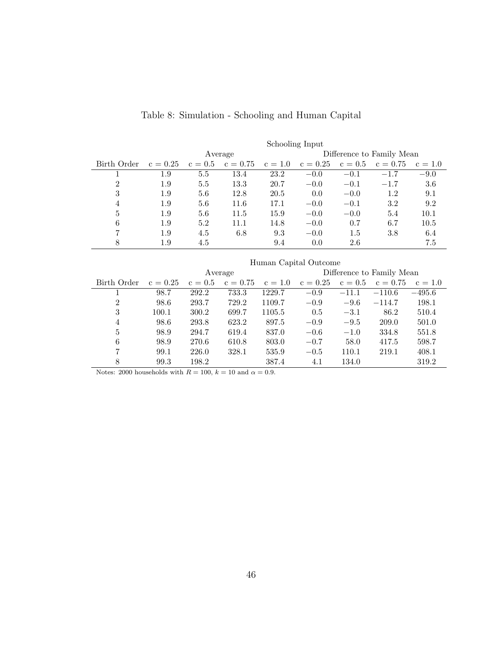|                |            | Schooling Input |            |           |            |           |                           |           |
|----------------|------------|-----------------|------------|-----------|------------|-----------|---------------------------|-----------|
|                |            |                 | Average    |           |            |           | Difference to Family Mean |           |
| Birth Order    | $c = 0.25$ | $c = 0.5$       | $c = 0.75$ | $c = 1.0$ | $c = 0.25$ | $c = 0.5$ | $c = 0.75$                | $c = 1.0$ |
|                | 1.9        | 5.5             | 13.4       | 23.2      | $-0.0$     | $-0.1$    | $-1.7$                    | $-9.0$    |
| $\mathfrak{D}$ | 1.9        | 5.5             | 13.3       | 20.7      | $-0.0$     | $-0.1$    | $-1.7$                    | 3.6       |
| 3              | 1.9        | 5.6             | 12.8       | 20.5      | 0.0        | $-0.0$    | 1.2                       | 9.1       |
| $\overline{4}$ | 1.9        | 5.6             | 11.6       | 17.1      | $-0.0$     | $-0.1$    | 3.2                       | 9.2       |
| 5              | 1.9        | 5.6             | 11.5       | 15.9      | $-0.0$     | $-0.0$    | 5.4                       | 10.1      |
| 6              | 1.9        | 5.2             | 11.1       | 14.8      | $-0.0$     | 0.7       | 6.7                       | 10.5      |
| 7              | 1.9        | 4.5             | 6.8        | 9.3       | $-0.0$     | $1.5\,$   | 3.8                       | 6.4       |
| 8              | 1.9        | 4.5             |            | 9.4       | 0.0        | 2.6       |                           | 7.5       |

# Table 8: Simulation - Schooling and Human Capital

|                | Human Capital Outcome |           |            |           |            |           |                           |           |
|----------------|-----------------------|-----------|------------|-----------|------------|-----------|---------------------------|-----------|
|                |                       |           | Average    |           |            |           | Difference to Family Mean |           |
| Birth Order    | $c = 0.25$            | $c = 0.5$ | $c = 0.75$ | $c = 1.0$ | $c = 0.25$ | $c = 0.5$ | $c = 0.75$                | $c = 1.0$ |
|                | 98.7                  | 292.2     | 733.3      | 1229.7    | $-0.9$     | $-11.1$   | $-110.6$                  | $-495.6$  |
| $\overline{2}$ | 98.6                  | 293.7     | 729.2      | 1109.7    | $-0.9$     | $-9.6$    | $-114.7$                  | 198.1     |
| 3              | 100.1                 | 300.2     | 699.7      | 1105.5    | 0.5        | $-3.1$    | 86.2                      | 510.4     |
| 4              | 98.6                  | 293.8     | 623.2      | 897.5     | $-0.9$     | $-9.5$    | 209.0                     | 501.0     |
| 5              | 98.9                  | 294.7     | 619.4      | 837.0     | $-0.6$     | $-1.0$    | 334.8                     | 551.8     |
| 6              | 98.9                  | 270.6     | 610.8      | 803.0     | $-0.7$     | 58.0      | 417.5                     | 598.7     |
| 7              | 99.1                  | 226.0     | 328.1      | 535.9     | $-0.5$     | 110.1     | 219.1                     | 408.1     |
| 8              | 99.3                  | 198.2     |            | 387.4     | 4.1        | 134.0     |                           | 319.2     |

Notes: 2000 households with  $R=100, \, k=10$  and  $\alpha=0.9.$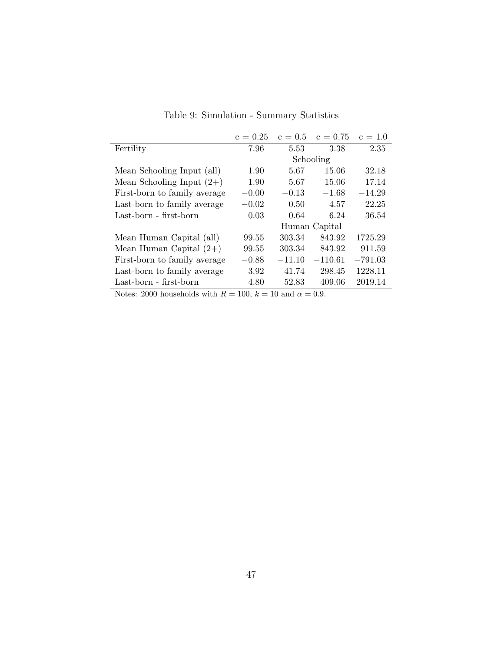|                                       | $c = 0.25$ | $c = 0.5$             | $c = 0.75$    | $c = 1.0$ |
|---------------------------------------|------------|-----------------------|---------------|-----------|
| Fertility                             | 7.96       | 5.53                  | 3.38          | 2.35      |
|                                       |            |                       | Schooling     |           |
| Mean Schooling Input (all)            | 1.90       | 5.67                  | 15.06         | 32.18     |
| Mean Schooling Input $(2+)$           | 1.90       | 5.67                  | 15.06         | 17.14     |
| First-born to family average          | $-0.00$    | $-0.13$               | $-1.68$       | $-14.29$  |
| Last-born to family average           | $-0.02$    | 0.50                  | 4.57          | 22.25     |
| Last-born - first-born                | 0.03       | 0.64                  | 6.24          | 36.54     |
|                                       |            |                       | Human Capital |           |
| Mean Human Capital (all)              | 99.55      | 303.34                | 843.92        | 1725.29   |
| Mean Human Capital $(2+)$             | 99.55      | 303.34                | 843.92        | 911.59    |
| First-born to family average          | $-0.88$    | $-11.10$              | $-110.61$     | $-791.03$ |
| Last-born to family average           | 3.92       | 41.74                 | 298.45        | 1228.11   |
| Last-born - first-born                | 4.80       | 52.83                 | 409.06        | 2019.14   |
| $\mathbf{M}$ $\pm$ 00001 111 $\pm$ 11 | $100-1$    | $10 \quad 1 \quad 00$ |               |           |

Table 9: Simulation - Summary Statistics

Notes: 2000 households with  $R = 100$ ,  $k = 10$  and  $\alpha = 0.9$ .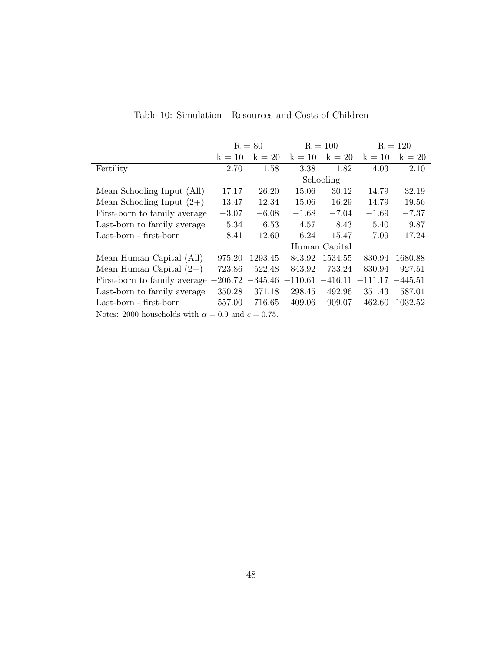|                                                  |          | $R = 80$ |           | $R = 100$     |           | $R = 120$ |
|--------------------------------------------------|----------|----------|-----------|---------------|-----------|-----------|
|                                                  | $k = 10$ | $k = 20$ | $k = 10$  | $k = 20$      | $k = 10$  | $k = 20$  |
| Fertility                                        | 2.70     | 1.58     | 3.38      | 1.82          | 4.03      | 2.10      |
|                                                  |          |          |           | Schooling     |           |           |
| Mean Schooling Input (All)                       | 17.17    | 26.20    | 15.06     | 30.12         | 14.79     | 32.19     |
| Mean Schooling Input $(2+)$                      | 13.47    | 12.34    | 15.06     | 16.29         | 14.79     | 19.56     |
| First-born to family average                     | $-3.07$  | $-6.08$  | $-1.68$   | $-7.04$       | $-1.69$   | $-7.37$   |
| Last-born to family average                      | 5.34     | 6.53     | 4.57      | 8.43          | 5.40      | 9.87      |
| Last-born - first-born                           | 8.41     | 12.60    | 6.24      | 15.47         | 7.09      | 17.24     |
|                                                  |          |          |           | Human Capital |           |           |
| Mean Human Capital (All)                         | 975.20   | 1293.45  | 843.92    | 1534.55       | 830.94    | 1680.88   |
| Mean Human Capital $(2+)$                        | 723.86   | 522.48   | 843.92    | 733.24        | 830.94    | 927.51    |
| First-born to family average $-206.72$ $-345.46$ |          |          | $-110.61$ | $-416.11$     | $-111.17$ | $-445.51$ |
| Last-born to family average                      | 350.28   | 371.18   | 298.45    | 492.96        | 351.43    | 587.01    |
| Last-born - first-born                           | 557.00   | 716.65   | 409.06    | 909.07        | 462.60    | 1032.52   |
|                                                  |          |          |           |               |           |           |

Table 10: Simulation - Resources and Costs of Children

Notes: 2000 households with  $\alpha = 0.9$  and  $c = 0.75$ .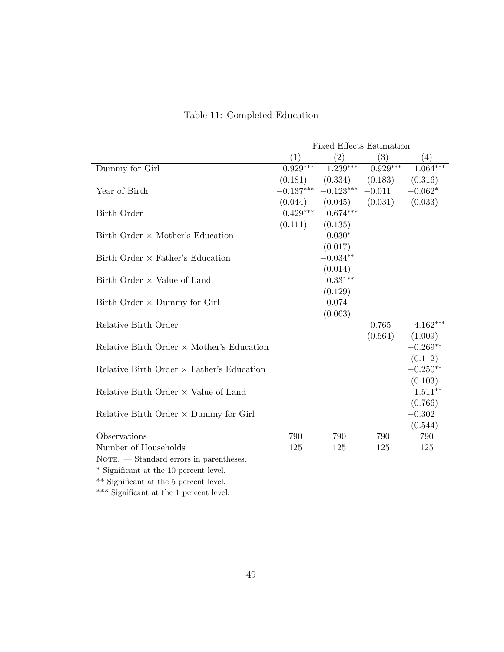|                                                                        | <b>Fixed Effects Estimation</b> |                               |            |            |
|------------------------------------------------------------------------|---------------------------------|-------------------------------|------------|------------|
|                                                                        | (1)                             | (2)                           | (3)        | (4)        |
| Dummy for Girl                                                         | $0.929***$                      | $1.\overline{239***}$         | $0.929***$ | $1.064***$ |
|                                                                        |                                 | $(0.181)$ $(0.334)$ $(0.183)$ |            | (0.316)    |
| Year of Birth                                                          | $-0.137***$                     | $-0.123***$ $-0.011$          |            | $-0.062*$  |
|                                                                        |                                 | $(0.044)$ $(0.045)$ $(0.031)$ |            | (0.033)    |
| Birth Order                                                            |                                 | $0.429***$ $0.674***$         |            |            |
|                                                                        | $(0.111)$ $(0.135)$             |                               |            |            |
| Birth Order $\times$ Mother's Education                                |                                 | $-0.030*$                     |            |            |
|                                                                        |                                 | (0.017)                       |            |            |
| Birth Order $\times$ Father's Education                                |                                 | $-0.034**$                    |            |            |
|                                                                        |                                 | (0.014)                       |            |            |
| Birth Order $\times$ Value of Land                                     |                                 | $0.331**$                     |            |            |
|                                                                        |                                 | (0.129)                       |            |            |
| Birth Order $\times$ Dummy for Girl                                    |                                 | $-0.074$                      |            |            |
|                                                                        |                                 | (0.063)                       |            |            |
| Relative Birth Order                                                   |                                 |                               | 0.765      | $4.162***$ |
|                                                                        |                                 |                               | (0.564)    | (1.009)    |
| Relative Birth Order $\times$ Mother's Education                       |                                 |                               |            | $-0.269**$ |
|                                                                        |                                 |                               |            | (0.112)    |
| Relative Birth Order $\times$ Father's Education                       |                                 |                               |            | $-0.250**$ |
|                                                                        |                                 |                               |            | (0.103)    |
| Relative Birth Order $\times$ Value of Land                            |                                 |                               |            | $1.511**$  |
|                                                                        |                                 |                               |            | (0.766)    |
| Relative Birth Order $\times$ Dummy for Girl                           |                                 |                               |            | $-0.302$   |
|                                                                        |                                 |                               |            | (0.544)    |
| Observations                                                           | 790                             | 790                           | 790        | 790        |
| Number of Households<br>Chandard among in nananthagag<br>$N_{\rm OCD}$ | 125                             | 125                           | 125        | 125        |

# Table 11: Completed Education

 ${\tt NOTE.}$  — Standard errors in parentheses.

 $^\ast$  Significant at the 10 percent level.

\*\* Significant at the 5 percent level.